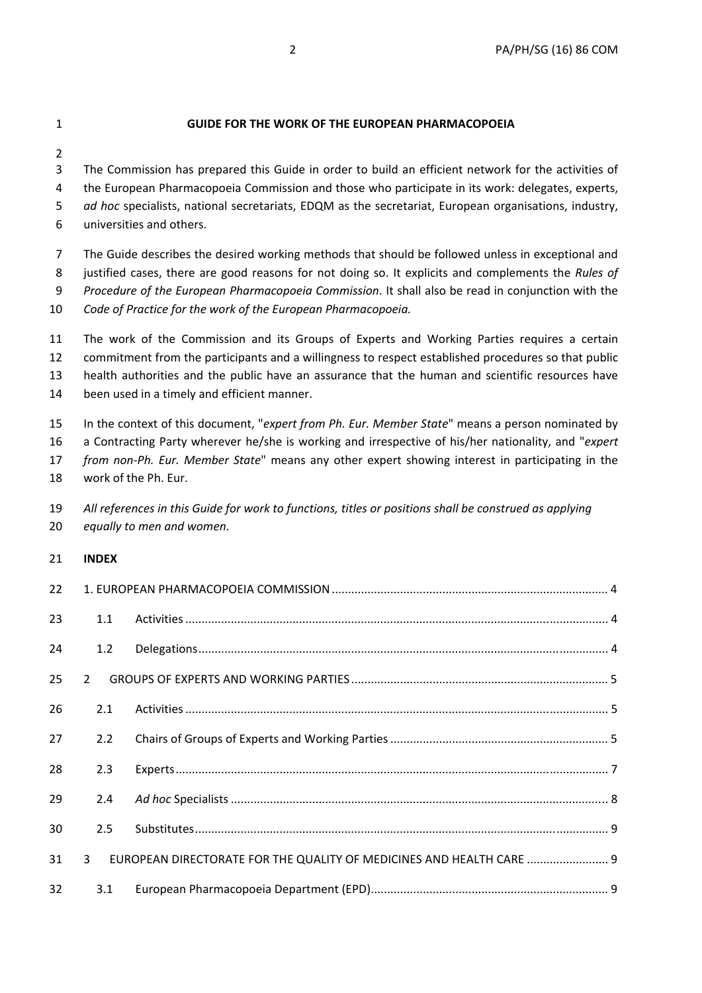### 1 **GUIDE FOR THE WORK OF THE EUROPEAN PHARMACOPOEIA**

2

3 The Commission has prepared this Guide in order to build an efficient network for the activities of 4 the European Pharmacopoeia Commission and those who participate in its work: delegates, experts, 5 *ad hoc* specialists, national secretariats, EDQM as the secretariat, European organisations, industry, 6 universities and others.

7 The Guide describes the desired working methods that should be followed unless in exceptional and 8 justified cases, there are good reasons for not doing so. It explicits and complements the *Rules of*  9 *Procedure of the European Pharmacopoeia Commission*. It shall also be read in conjunction with the 10 *Code of Practice for the work of the European Pharmacopoeia.*

11 The work of the Commission and its Groups of Experts and Working Parties requires a certain 12 commitment from the participants and a willingness to respect established procedures so that public 13 health authorities and the public have an assurance that the human and scientific resources have 14 been used in a timely and efficient manner.

15 In the context of this document, "*expert from Ph. Eur. Member State*" means a person nominated by

16 a Contracting Party wherever he/she is working and irrespective of his/her nationality, and "*expert* 

17 *from non-Ph. Eur. Member State*" means any other expert showing interest in participating in the

18 work of the Ph. Eur.

| 19 | All references in this Guide for work to functions, titles or positions shall be construed as applying |
|----|--------------------------------------------------------------------------------------------------------|
|    | 20 equally to men and women.                                                                           |

### 21 **INDEX**

| 22 |               |                                                                      |  |
|----|---------------|----------------------------------------------------------------------|--|
| 23 | 1.1           |                                                                      |  |
| 24 | 1.2           |                                                                      |  |
| 25 | $\mathcal{P}$ |                                                                      |  |
| 26 | 2.1           |                                                                      |  |
| 27 | 2.2           |                                                                      |  |
| 28 | 2.3           |                                                                      |  |
| 29 | 2.4           |                                                                      |  |
| 30 | 2.5           |                                                                      |  |
| 31 | $\mathbf{3}$  | EUROPEAN DIRECTORATE FOR THE QUALITY OF MEDICINES AND HEALTH CARE  9 |  |
| 32 | 3.1           |                                                                      |  |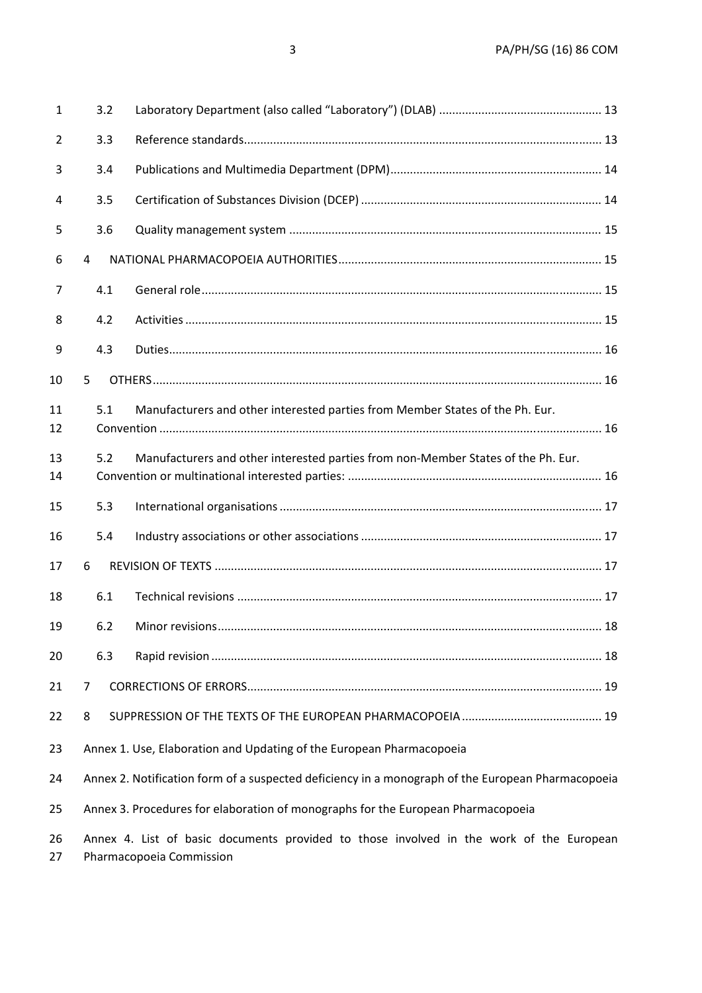| $\mathbf{1}$ | 3.2 |                                                                                                   |
|--------------|-----|---------------------------------------------------------------------------------------------------|
| 2            | 3.3 |                                                                                                   |
| 3            | 3.4 |                                                                                                   |
| 4            | 3.5 |                                                                                                   |
| 5            | 3.6 |                                                                                                   |
| 6            | 4   |                                                                                                   |
| 7            | 4.1 |                                                                                                   |
| 8            | 4.2 |                                                                                                   |
| 9            | 4.3 |                                                                                                   |
| 10           | 5   |                                                                                                   |
| 11<br>12     | 5.1 | Manufacturers and other interested parties from Member States of the Ph. Eur.                     |
| 13<br>14     | 5.2 | Manufacturers and other interested parties from non-Member States of the Ph. Eur.                 |
| 15           | 5.3 |                                                                                                   |
| 16           | 5.4 |                                                                                                   |
| 17           | 6   |                                                                                                   |
| 18           | 6.1 |                                                                                                   |
| 19           | 6.2 |                                                                                                   |
| 20           | 6.3 |                                                                                                   |
| 21           | 7   |                                                                                                   |
| 22           | 8   |                                                                                                   |
| 23           |     | Annex 1. Use, Elaboration and Updating of the European Pharmacopoeia                              |
| 24           |     | Annex 2. Notification form of a suspected deficiency in a monograph of the European Pharmacopoeia |
| 25           |     | Annex 3. Procedures for elaboration of monographs for the European Pharmacopoeia                  |
|              |     |                                                                                                   |

26 Annex 4. List of basic documents provided to those involved in the work of the European 27 Pharmacopoeia Commission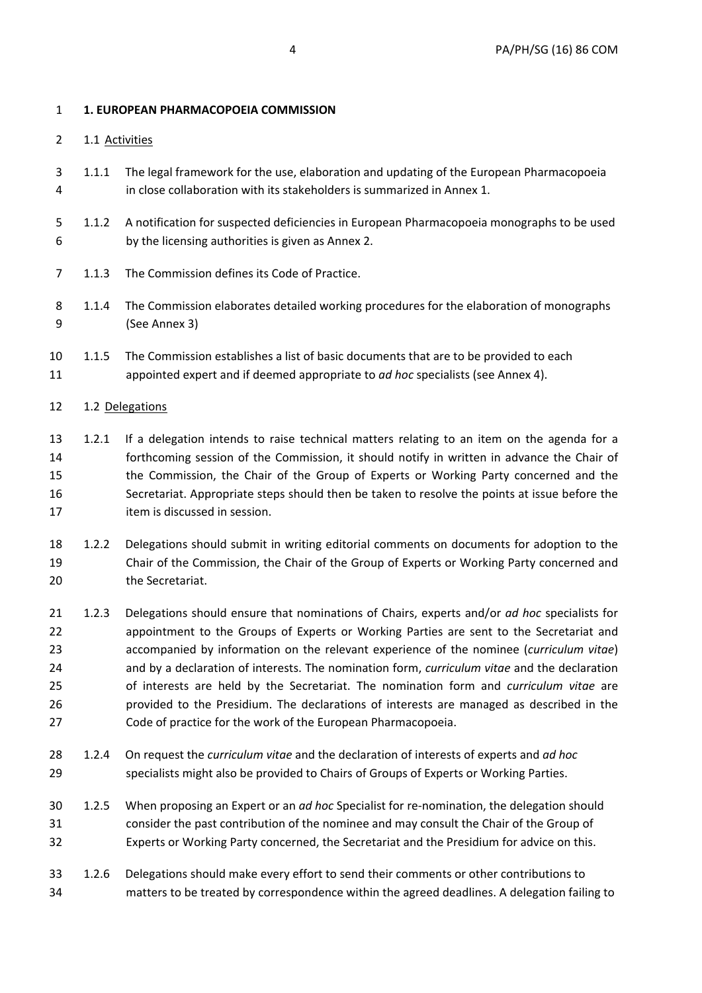## 1 **1. EUROPEAN PHARMACOPOEIA COMMISSION**

- 2 1.1 Activities
- 3 1.1.1 The legal framework for the use, elaboration and updating of the European Pharmacopoeia 4 in close collaboration with its stakeholders is summarized in Annex 1.
- 5 1.1.2 A notification for suspected deficiencies in European Pharmacopoeia monographs to be used 6 by the licensing authorities is given as Annex 2.
- 7 1.1.3 The Commission defines its Code of Practice.
- 8 1.1.4 The Commission elaborates detailed working procedures for the elaboration of monographs 9 (See Annex 3)
- 10 1.1.5 The Commission establishes a list of basic documents that are to be provided to each 11 appointed expert and if deemed appropriate to *ad hoc* specialists (see Annex 4).
- 12 1.2 Delegations
- 13 1.2.1 If a delegation intends to raise technical matters relating to an item on the agenda for a 14 forthcoming session of the Commission, it should notify in written in advance the Chair of 15 the Commission, the Chair of the Group of Experts or Working Party concerned and the 16 Secretariat. Appropriate steps should then be taken to resolve the points at issue before the 17 item is discussed in session.
- 18 1.2.2 Delegations should submit in writing editorial comments on documents for adoption to the 19 Chair of the Commission, the Chair of the Group of Experts or Working Party concerned and 20 the Secretariat.
- 21 1.2.3 Delegations should ensure that nominations of Chairs, experts and/or *ad hoc* specialists for 22 appointment to the Groups of Experts or Working Parties are sent to the Secretariat and 23 accompanied by information on the relevant experience of the nominee (*curriculum vitae*) 24 and by a declaration of interests. The nomination form, *curriculum vitae* and the declaration 25 of interests are held by the Secretariat. The nomination form and *curriculum vitae* are 26 provided to the Presidium. The declarations of interests are managed as described in the 27 Code of practice for the work of the European Pharmacopoeia.
- 28 1.2.4 On request the *curriculum vitae* and the declaration of interests of experts and *ad hoc* 29 specialists might also be provided to Chairs of Groups of Experts or Working Parties.
- 30 1.2.5 When proposing an Expert or an *ad hoc* Specialist for re-nomination, the delegation should 31 consider the past contribution of the nominee and may consult the Chair of the Group of 32 Experts or Working Party concerned, the Secretariat and the Presidium for advice on this.
- 33 1.2.6 Delegations should make every effort to send their comments or other contributions to 34 matters to be treated by correspondence within the agreed deadlines. A delegation failing to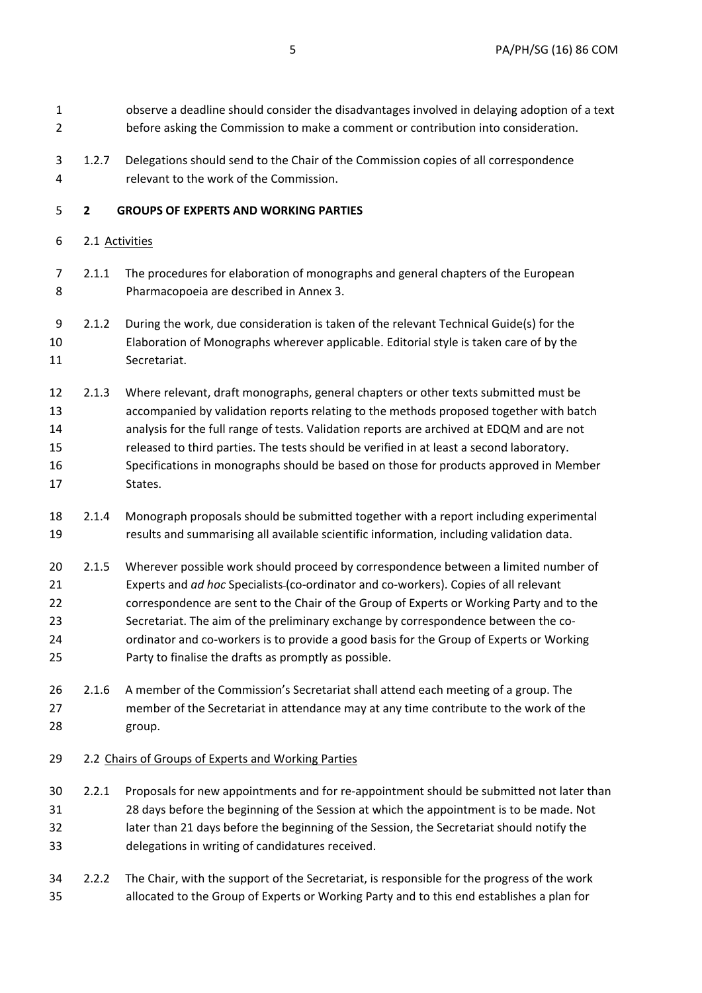1 observe a deadline should consider the disadvantages involved in delaying adoption of a text 2 before asking the Commission to make a comment or contribution into consideration.

3 1.2.7 Delegations should send to the Chair of the Commission copies of all correspondence 4 relevant to the work of the Commission.

## 5 **2 GROUPS OF EXPERTS AND WORKING PARTIES**

- 6 2.1 Activities
- 7 2.1.1 The procedures for elaboration of monographs and general chapters of the European 8 Pharmacopoeia are described in Annex 3.
- 9 2.1.2 During the work, due consideration is taken of the relevant Technical Guide(s) for the 10 Elaboration of Monographs wherever applicable. Editorial style is taken care of by the 11 Secretariat.

12 2.1.3 Where relevant, draft monographs, general chapters or other texts submitted must be 13 accompanied by validation reports relating to the methods proposed together with batch 14 analysis for the full range of tests. Validation reports are archived at EDQM and are not 15 released to third parties. The tests should be verified in at least a second laboratory. 16 Specifications in monographs should be based on those for products approved in Member 17 States.

- 18 2.1.4 Monograph proposals should be submitted together with a report including experimental 19 results and summarising all available scientific information, including validation data.
- 20 2.1.5 Wherever possible work should proceed by correspondence between a limited number of 21 Experts and *ad hoc* Specialists (co-ordinator and co-workers). Copies of all relevant 22 correspondence are sent to the Chair of the Group of Experts or Working Party and to the 23 Secretariat. The aim of the preliminary exchange by correspondence between the co-24 ordinator and co-workers is to provide a good basis for the Group of Experts or Working 25 Party to finalise the drafts as promptly as possible.
- 26 2.1.6 A member of the Commission's Secretariat shall attend each meeting of a group. The 27 member of the Secretariat in attendance may at any time contribute to the work of the 28 group.

### 29 2.2 Chairs of Groups of Experts and Working Parties

- 30 2.2.1 Proposals for new appointments and for re-appointment should be submitted not later than 31 28 days before the beginning of the Session at which the appointment is to be made. Not 32 later than 21 days before the beginning of the Session, the Secretariat should notify the 33 delegations in writing of candidatures received.
- 34 2.2.2 The Chair, with the support of the Secretariat, is responsible for the progress of the work 35 allocated to the Group of Experts or Working Party and to this end establishes a plan for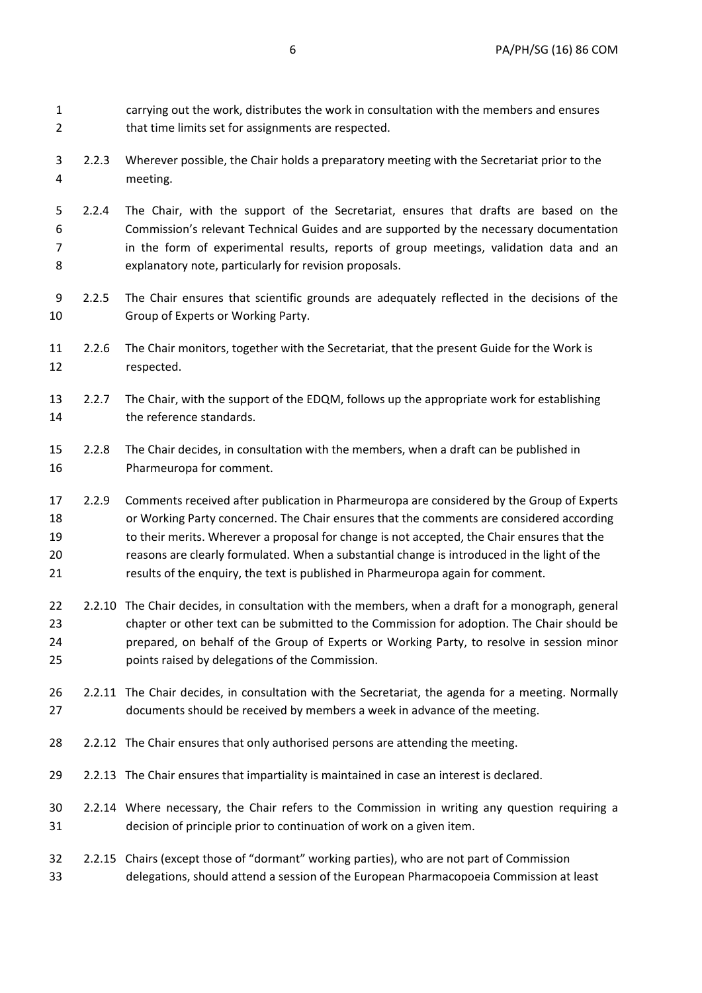1 carrying out the work, distributes the work in consultation with the members and ensures 2 that time limits set for assignments are respected.

- 3 2.2.3 Wherever possible, the Chair holds a preparatory meeting with the Secretariat prior to the 4 meeting.
- 5 2.2.4 The Chair, with the support of the Secretariat, ensures that drafts are based on the 6 Commission's relevant Technical Guides and are supported by the necessary documentation 7 in the form of experimental results, reports of group meetings, validation data and an 8 explanatory note, particularly for revision proposals.
- 9 2.2.5 The Chair ensures that scientific grounds are adequately reflected in the decisions of the 10 Group of Experts or Working Party.
- 11 2.2.6 The Chair monitors, together with the Secretariat, that the present Guide for the Work is 12 respected.
- 13 2.2.7 The Chair, with the support of the EDQM, follows up the appropriate work for establishing 14 the reference standards.
- 15 2.2.8 The Chair decides, in consultation with the members, when a draft can be published in 16 Pharmeuropa for comment.
- 17 2.2.9 Comments received after publication in Pharmeuropa are considered by the Group of Experts 18 or Working Party concerned. The Chair ensures that the comments are considered according 19 to their merits. Wherever a proposal for change is not accepted, the Chair ensures that the 20 reasons are clearly formulated. When a substantial change is introduced in the light of the 21 results of the enquiry, the text is published in Pharmeuropa again for comment.
- 22 2.2.10 The Chair decides, in consultation with the members, when a draft for a monograph, general 23 chapter or other text can be submitted to the Commission for adoption. The Chair should be 24 prepared, on behalf of the Group of Experts or Working Party, to resolve in session minor 25 points raised by delegations of the Commission.
- 26 2.2.11 The Chair decides, in consultation with the Secretariat, the agenda for a meeting. Normally 27 documents should be received by members a week in advance of the meeting.
- 28 2.2.12 The Chair ensures that only authorised persons are attending the meeting.
- 29 2.2.13 The Chair ensures that impartiality is maintained in case an interest is declared.
- 30 2.2.14 Where necessary, the Chair refers to the Commission in writing any question requiring a 31 decision of principle prior to continuation of work on a given item.
- 32 2.2.15 Chairs (except those of "dormant" working parties), who are not part of Commission 33 delegations, should attend a session of the European Pharmacopoeia Commission at least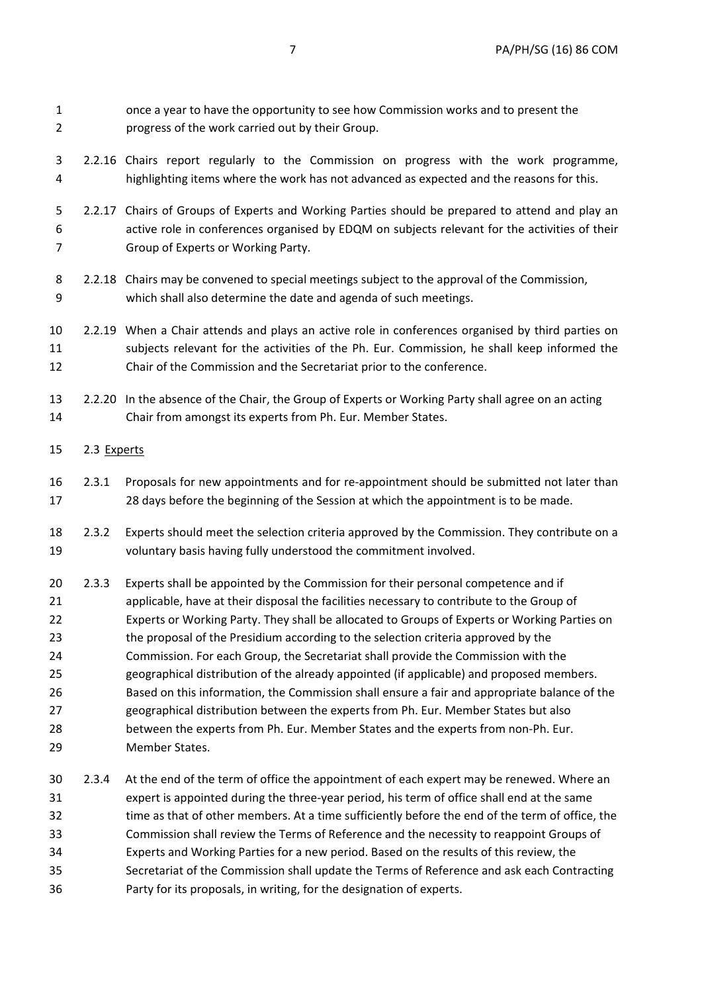1 once a year to have the opportunity to see how Commission works and to present the 2 progress of the work carried out by their Group. 3 2.2.16 Chairs report regularly to the Commission on progress with the work programme, 4 highlighting items where the work has not advanced as expected and the reasons for this. 5 2.2.17 Chairs of Groups of Experts and Working Parties should be prepared to attend and play an 6 active role in conferences organised by EDQM on subjects relevant for the activities of their 7 Group of Experts or Working Party. 8 2.2.18 Chairs may be convened to special meetings subject to the approval of the Commission, 9 which shall also determine the date and agenda of such meetings. 10 2.2.19 When a Chair attends and plays an active role in conferences organised by third parties on 11 subjects relevant for the activities of the Ph. Eur. Commission, he shall keep informed the 12 Chair of the Commission and the Secretariat prior to the conference. 13 2.2.20 In the absence of the Chair, the Group of Experts or Working Party shall agree on an acting 14 Chair from amongst its experts from Ph. Eur. Member States. 15 2.3 Experts 16 2.3.1 Proposals for new appointments and for re-appointment should be submitted not later than 17 28 days before the beginning of the Session at which the appointment is to be made. 18 2.3.2 Experts should meet the selection criteria approved by the Commission. They contribute on a 19 voluntary basis having fully understood the commitment involved. 20 2.3.3 Experts shall be appointed by the Commission for their personal competence and if 21 applicable, have at their disposal the facilities necessary to contribute to the Group of 22 Experts or Working Party. They shall be allocated to Groups of Experts or Working Parties on 23 the proposal of the Presidium according to the selection criteria approved by the 24 Commission. For each Group, the Secretariat shall provide the Commission with the 25 geographical distribution of the already appointed (if applicable) and proposed members. 26 Based on this information, the Commission shall ensure a fair and appropriate balance of the 27 geographical distribution between the experts from Ph. Eur. Member States but also 28 between the experts from Ph. Eur. Member States and the experts from non-Ph. Eur. 29 Member States. 30 2.3.4 At the end of the term of office the appointment of each expert may be renewed. Where an 31 expert is appointed during the three-year period, his term of office shall end at the same 32 time as that of other members. At a time sufficiently before the end of the term of office, the 33 Commission shall review the Terms of Reference and the necessity to reappoint Groups of 34 Experts and Working Parties for a new period. Based on the results of this review, the

35 Secretariat of the Commission shall update the Terms of Reference and ask each Contracting 36 Party for its proposals, in writing, for the designation of experts.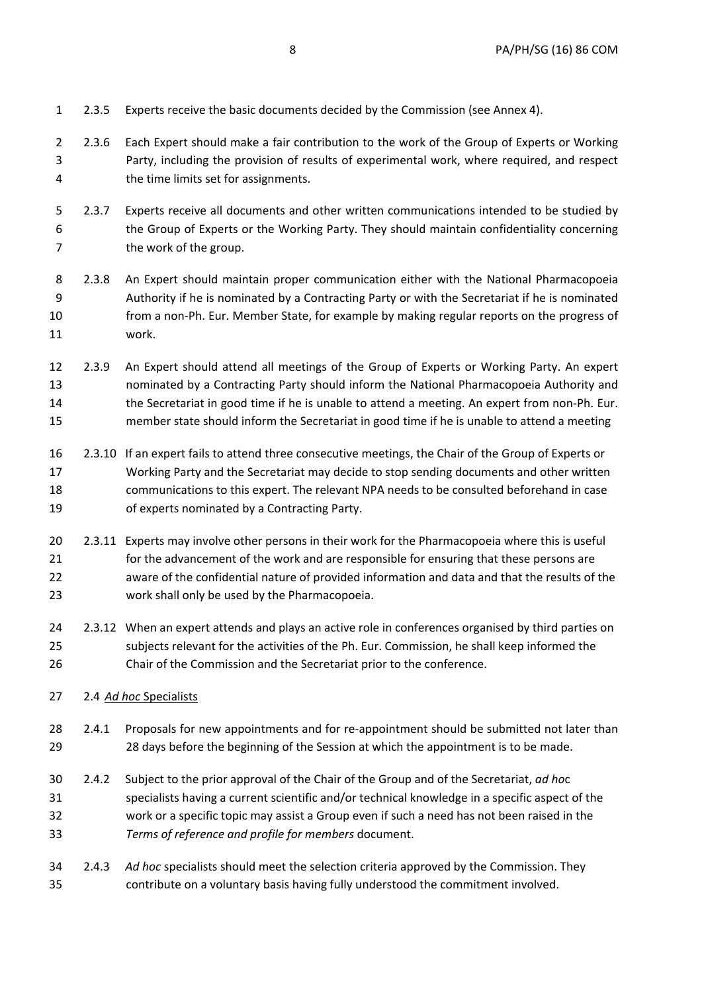- 1 2.3.5 Experts receive the basic documents decided by the Commission (see Annex 4). 2 2.3.6 Each Expert should make a fair contribution to the work of the Group of Experts or Working 3 Party, including the provision of results of experimental work, where required, and respect 4 the time limits set for assignments. 5 2.3.7 Experts receive all documents and other written communications intended to be studied by 6 the Group of Experts or the Working Party. They should maintain confidentiality concerning 7 the work of the group. 8 2.3.8 An Expert should maintain proper communication either with the National Pharmacopoeia 9 Authority if he is nominated by a Contracting Party or with the Secretariat if he is nominated 10 from a non-Ph. Eur. Member State, for example by making regular reports on the progress of 11 work. 12 2.3.9 An Expert should attend all meetings of the Group of Experts or Working Party. An expert 13 nominated by a Contracting Party should inform the National Pharmacopoeia Authority and 14 the Secretariat in good time if he is unable to attend a meeting. An expert from non-Ph. Eur. 15 member state should inform the Secretariat in good time if he is unable to attend a meeting 16 2.3.10 If an expert fails to attend three consecutive meetings, the Chair of the Group of Experts or 17 Working Party and the Secretariat may decide to stop sending documents and other written 18 communications to this expert. The relevant NPA needs to be consulted beforehand in case 19 of experts nominated by a Contracting Party. 20 2.3.11 Experts may involve other persons in their work for the Pharmacopoeia where this is useful 21 for the advancement of the work and are responsible for ensuring that these persons are 22 aware of the confidential nature of provided information and data and that the results of the 23 work shall only be used by the Pharmacopoeia. 24 2.3.12 When an expert attends and plays an active role in conferences organised by third parties on 25 subjects relevant for the activities of the Ph. Eur. Commission, he shall keep informed the 26 Chair of the Commission and the Secretariat prior to the conference. 27 2.4 *Ad hoc* Specialists 28 2.4.1 Proposals for new appointments and for re-appointment should be submitted not later than 29 28 days before the beginning of the Session at which the appointment is to be made. 30 2.4.2 Subject to the prior approval of the Chair of the Group and of the Secretariat, *ad ho*c 31 specialists having a current scientific and/or technical knowledge in a specific aspect of the 32 work or a specific topic may assist a Group even if such a need has not been raised in the 33 *Terms of reference and profile for members* document. 34 2.4.3 *Ad hoc* specialists should meet the selection criteria approved by the Commission. They
- 35 contribute on a voluntary basis having fully understood the commitment involved.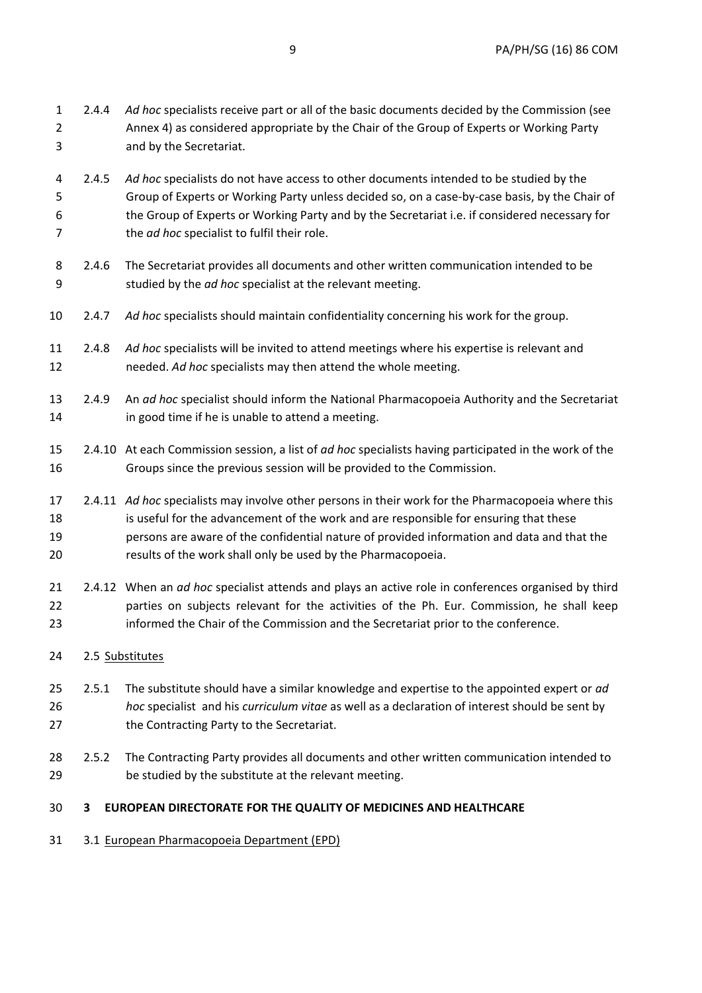| 31                     |                 | 3.1 European Pharmacopoeia Department (EPD)                                                                                                                                                                                                                                                                                                               |
|------------------------|-----------------|-----------------------------------------------------------------------------------------------------------------------------------------------------------------------------------------------------------------------------------------------------------------------------------------------------------------------------------------------------------|
| 30                     | 3               | <b>EUROPEAN DIRECTORATE FOR THE QUALITY OF MEDICINES AND HEALTHCARE</b>                                                                                                                                                                                                                                                                                   |
| 29                     |                 | be studied by the substitute at the relevant meeting.                                                                                                                                                                                                                                                                                                     |
| 28                     | 2.5.2           | The Contracting Party provides all documents and other written communication intended to                                                                                                                                                                                                                                                                  |
| 27                     |                 | the Contracting Party to the Secretariat.                                                                                                                                                                                                                                                                                                                 |
| 25<br>26               | 2.5.1           | The substitute should have a similar knowledge and expertise to the appointed expert or ad<br>hoc specialist and his curriculum vitae as well as a declaration of interest should be sent by                                                                                                                                                              |
| 24                     | 2.5 Substitutes |                                                                                                                                                                                                                                                                                                                                                           |
| 21<br>22<br>23         |                 | 2.4.12 When an ad hoc specialist attends and plays an active role in conferences organised by third<br>parties on subjects relevant for the activities of the Ph. Eur. Commission, he shall keep<br>informed the Chair of the Commission and the Secretariat prior to the conference.                                                                     |
| 17<br>18<br>19<br>20   |                 | 2.4.11 Ad hoc specialists may involve other persons in their work for the Pharmacopoeia where this<br>is useful for the advancement of the work and are responsible for ensuring that these<br>persons are aware of the confidential nature of provided information and data and that the<br>results of the work shall only be used by the Pharmacopoeia. |
| 15<br>16               |                 | 2.4.10 At each Commission session, a list of ad hoc specialists having participated in the work of the<br>Groups since the previous session will be provided to the Commission.                                                                                                                                                                           |
| 13<br>14               | 2.4.9           | An ad hoc specialist should inform the National Pharmacopoeia Authority and the Secretariat<br>in good time if he is unable to attend a meeting.                                                                                                                                                                                                          |
| 11<br>12               | 2.4.8           | Ad hoc specialists will be invited to attend meetings where his expertise is relevant and<br>needed. Ad hoc specialists may then attend the whole meeting.                                                                                                                                                                                                |
| 10                     | 2.4.7           | Ad hoc specialists should maintain confidentiality concerning his work for the group.                                                                                                                                                                                                                                                                     |
| 8<br>9                 | 2.4.6           | The Secretariat provides all documents and other written communication intended to be<br>studied by the ad hoc specialist at the relevant meeting.                                                                                                                                                                                                        |
| 4<br>5<br>6<br>7       | 2.4.5           | Ad hoc specialists do not have access to other documents intended to be studied by the<br>Group of Experts or Working Party unless decided so, on a case-by-case basis, by the Chair of<br>the Group of Experts or Working Party and by the Secretariat i.e. if considered necessary for<br>the ad hoc specialist to fulfil their role.                   |
| $\mathbf{1}$<br>2<br>3 | 2.4.4           | Ad hoc specialists receive part or all of the basic documents decided by the Commission (see<br>Annex 4) as considered appropriate by the Chair of the Group of Experts or Working Party<br>and by the Secretariat.                                                                                                                                       |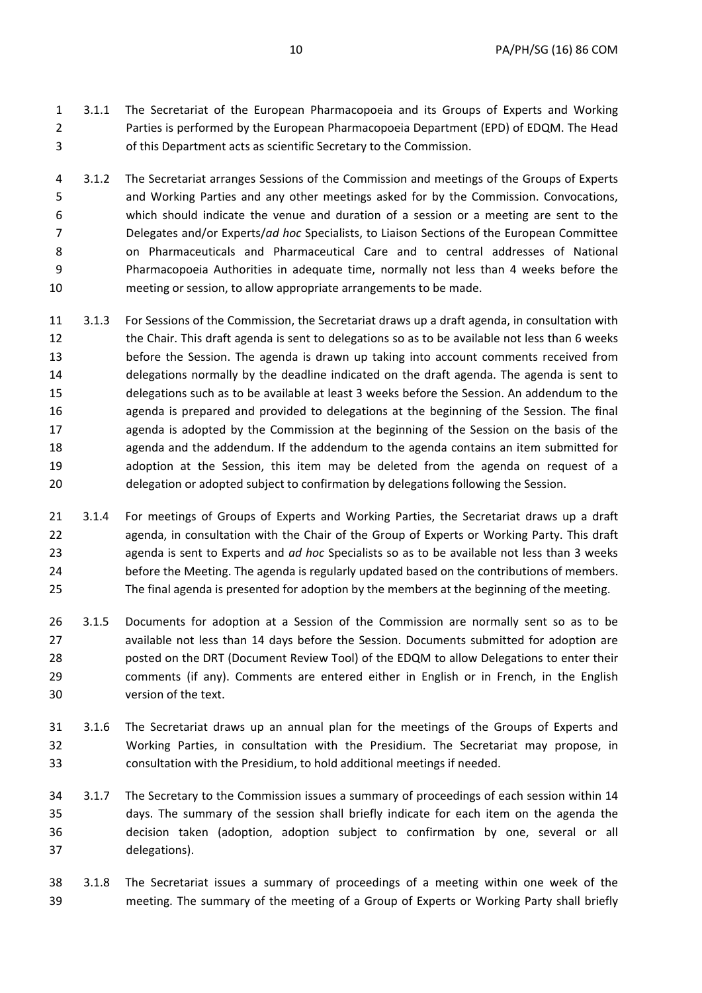- 1 3.1.1 The Secretariat of the European Pharmacopoeia and its Groups of Experts and Working 2 Parties is performed by the European Pharmacopoeia Department (EPD) of EDQM. The Head 3 of this Department acts as scientific Secretary to the Commission.
- 4 3.1.2 The Secretariat arranges Sessions of the Commission and meetings of the Groups of Experts 5 and Working Parties and any other meetings asked for by the Commission. Convocations, 6 which should indicate the venue and duration of a session or a meeting are sent to the 7 Delegates and/or Experts/*ad hoc* Specialists, to Liaison Sections of the European Committee 8 on Pharmaceuticals and Pharmaceutical Care and to central addresses of National 9 Pharmacopoeia Authorities in adequate time, normally not less than 4 weeks before the 10 meeting or session, to allow appropriate arrangements to be made.
- 11 3.1.3 For Sessions of the Commission, the Secretariat draws up a draft agenda, in consultation with 12 the Chair. This draft agenda is sent to delegations so as to be available not less than 6 weeks 13 before the Session. The agenda is drawn up taking into account comments received from 14 delegations normally by the deadline indicated on the draft agenda. The agenda is sent to 15 delegations such as to be available at least 3 weeks before the Session. An addendum to the 16 agenda is prepared and provided to delegations at the beginning of the Session. The final 17 agenda is adopted by the Commission at the beginning of the Session on the basis of the 18 agenda and the addendum. If the addendum to the agenda contains an item submitted for 19 adoption at the Session, this item may be deleted from the agenda on request of a 20 delegation or adopted subject to confirmation by delegations following the Session.
- 21 3.1.4 For meetings of Groups of Experts and Working Parties, the Secretariat draws up a draft 22 agenda, in consultation with the Chair of the Group of Experts or Working Party. This draft 23 agenda is sent to Experts and *ad hoc* Specialists so as to be available not less than 3 weeks 24 before the Meeting. The agenda is regularly updated based on the contributions of members. 25 The final agenda is presented for adoption by the members at the beginning of the meeting.
- 26 3.1.5 Documents for adoption at a Session of the Commission are normally sent so as to be 27 available not less than 14 days before the Session. Documents submitted for adoption are 28 posted on the DRT (Document Review Tool) of the EDQM to allow Delegations to enter their 29 comments (if any). Comments are entered either in English or in French, in the English 30 version of the text.
- 31 3.1.6 The Secretariat draws up an annual plan for the meetings of the Groups of Experts and 32 Working Parties, in consultation with the Presidium. The Secretariat may propose, in 33 consultation with the Presidium, to hold additional meetings if needed.
- 34 3.1.7 The Secretary to the Commission issues a summary of proceedings of each session within 14 35 days. The summary of the session shall briefly indicate for each item on the agenda the 36 decision taken (adoption, adoption subject to confirmation by one, several or all 37 delegations).
- 38 3.1.8 The Secretariat issues a summary of proceedings of a meeting within one week of the 39 meeting. The summary of the meeting of a Group of Experts or Working Party shall briefly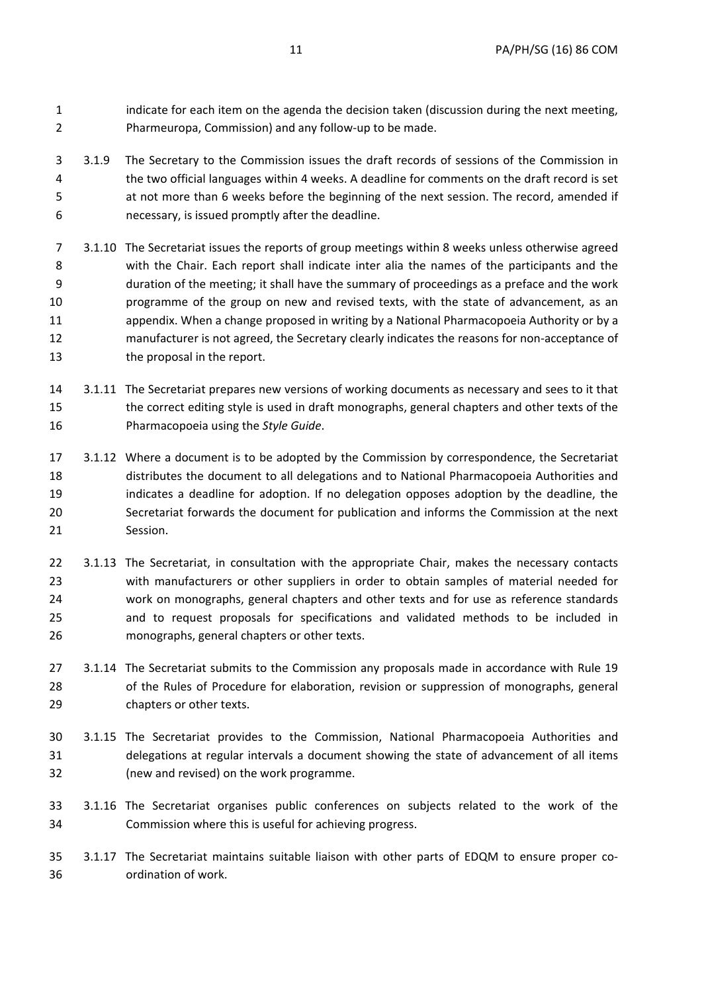1 indicate for each item on the agenda the decision taken (discussion during the next meeting, 2 Pharmeuropa, Commission) and any follow-up to be made.

- 3 3.1.9 The Secretary to the Commission issues the draft records of sessions of the Commission in 4 the two official languages within 4 weeks. A deadline for comments on the draft record is set 5 at not more than 6 weeks before the beginning of the next session. The record, amended if 6 necessary, is issued promptly after the deadline.
- 7 3.1.10 The Secretariat issues the reports of group meetings within 8 weeks unless otherwise agreed 8 with the Chair. Each report shall indicate inter alia the names of the participants and the 9 duration of the meeting; it shall have the summary of proceedings as a preface and the work 10 programme of the group on new and revised texts, with the state of advancement, as an 11 appendix. When a change proposed in writing by a National Pharmacopoeia Authority or by a 12 manufacturer is not agreed, the Secretary clearly indicates the reasons for non-acceptance of 13 the proposal in the report.
- 14 3.1.11 The Secretariat prepares new versions of working documents as necessary and sees to it that 15 the correct editing style is used in draft monographs, general chapters and other texts of the 16 Pharmacopoeia using the *Style Guide*.
- 17 3.1.12 Where a document is to be adopted by the Commission by correspondence, the Secretariat 18 distributes the document to all delegations and to National Pharmacopoeia Authorities and 19 indicates a deadline for adoption. If no delegation opposes adoption by the deadline, the 20 Secretariat forwards the document for publication and informs the Commission at the next 21 Session.
- 22 3.1.13 The Secretariat, in consultation with the appropriate Chair, makes the necessary contacts 23 with manufacturers or other suppliers in order to obtain samples of material needed for 24 work on monographs, general chapters and other texts and for use as reference standards 25 and to request proposals for specifications and validated methods to be included in 26 monographs, general chapters or other texts.
- 27 3.1.14 The Secretariat submits to the Commission any proposals made in accordance with Rule 19 28 of the Rules of Procedure for elaboration, revision or suppression of monographs, general 29 chapters or other texts.
- 30 3.1.15 The Secretariat provides to the Commission, National Pharmacopoeia Authorities and 31 delegations at regular intervals a document showing the state of advancement of all items 32 (new and revised) on the work programme.
- 33 3.1.16 The Secretariat organises public conferences on subjects related to the work of the 34 Commission where this is useful for achieving progress.
- 35 3.1.17 The Secretariat maintains suitable liaison with other parts of EDQM to ensure proper co-36 ordination of work.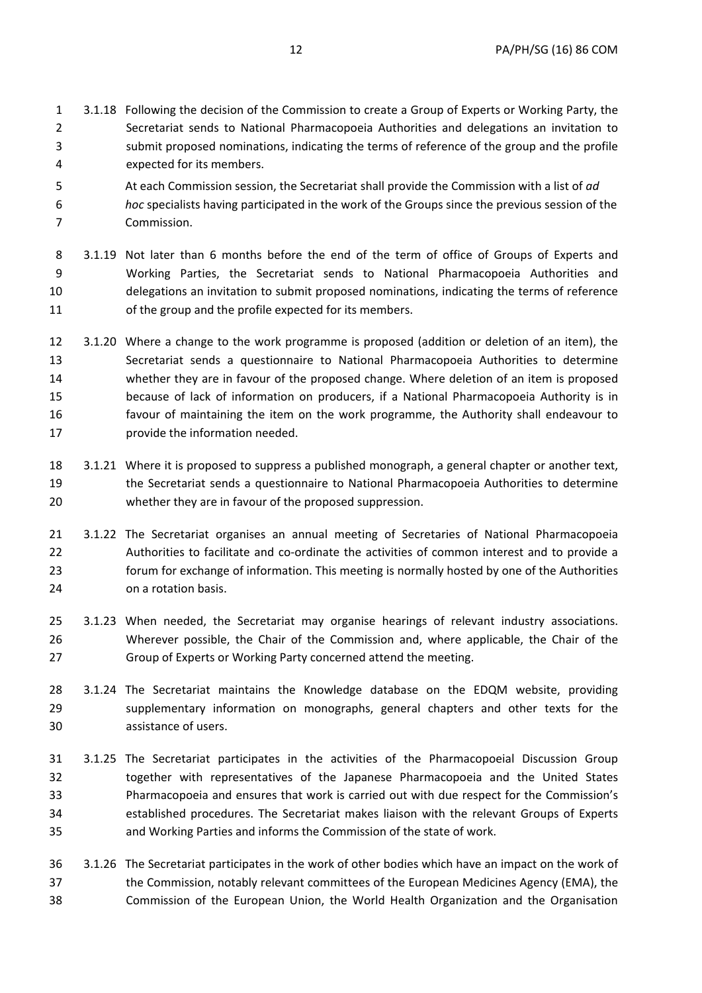- 1 3.1.18 Following the decision of the Commission to create a Group of Experts or Working Party, the 2 Secretariat sends to National Pharmacopoeia Authorities and delegations an invitation to 3 submit proposed nominations, indicating the terms of reference of the group and the profile 4 expected for its members.
- 5 At each Commission session, the Secretariat shall provide the Commission with a list of *ad*
- 6 *hoc* specialists having participated in the work of the Groups since the previous session of the 7 Commission.
- 8 3.1.19 Not later than 6 months before the end of the term of office of Groups of Experts and 9 Working Parties, the Secretariat sends to National Pharmacopoeia Authorities and 10 delegations an invitation to submit proposed nominations, indicating the terms of reference 11 of the group and the profile expected for its members.
- 12 3.1.20 Where a change to the work programme is proposed (addition or deletion of an item), the 13 Secretariat sends a questionnaire to National Pharmacopoeia Authorities to determine 14 whether they are in favour of the proposed change. Where deletion of an item is proposed 15 because of lack of information on producers, if a National Pharmacopoeia Authority is in 16 favour of maintaining the item on the work programme, the Authority shall endeavour to 17 **provide the information needed.**
- 18 3.1.21 Where it is proposed to suppress a published monograph, a general chapter or another text, 19 the Secretariat sends a questionnaire to National Pharmacopoeia Authorities to determine 20 whether they are in favour of the proposed suppression.
- 21 3.1.22 The Secretariat organises an annual meeting of Secretaries of National Pharmacopoeia 22 Authorities to facilitate and co-ordinate the activities of common interest and to provide a 23 forum for exchange of information. This meeting is normally hosted by one of the Authorities 24 on a rotation basis.
- 25 3.1.23 When needed, the Secretariat may organise hearings of relevant industry associations. 26 Wherever possible, the Chair of the Commission and, where applicable, the Chair of the 27 Group of Experts or Working Party concerned attend the meeting.
- 28 3.1.24 The Secretariat maintains the Knowledge database on the EDQM website, providing 29 supplementary information on monographs, general chapters and other texts for the 30 assistance of users.
- 31 3.1.25 The Secretariat participates in the activities of the Pharmacopoeial Discussion Group 32 together with representatives of the Japanese Pharmacopoeia and the United States 33 Pharmacopoeia and ensures that work is carried out with due respect for the Commission's 34 established procedures. The Secretariat makes liaison with the relevant Groups of Experts 35 and Working Parties and informs the Commission of the state of work.
- 36 3.1.26 The Secretariat participates in the work of other bodies which have an impact on the work of 37 the Commission, notably relevant committees of the European Medicines Agency (EMA), the 38 Commission of the European Union, the World Health Organization and the Organisation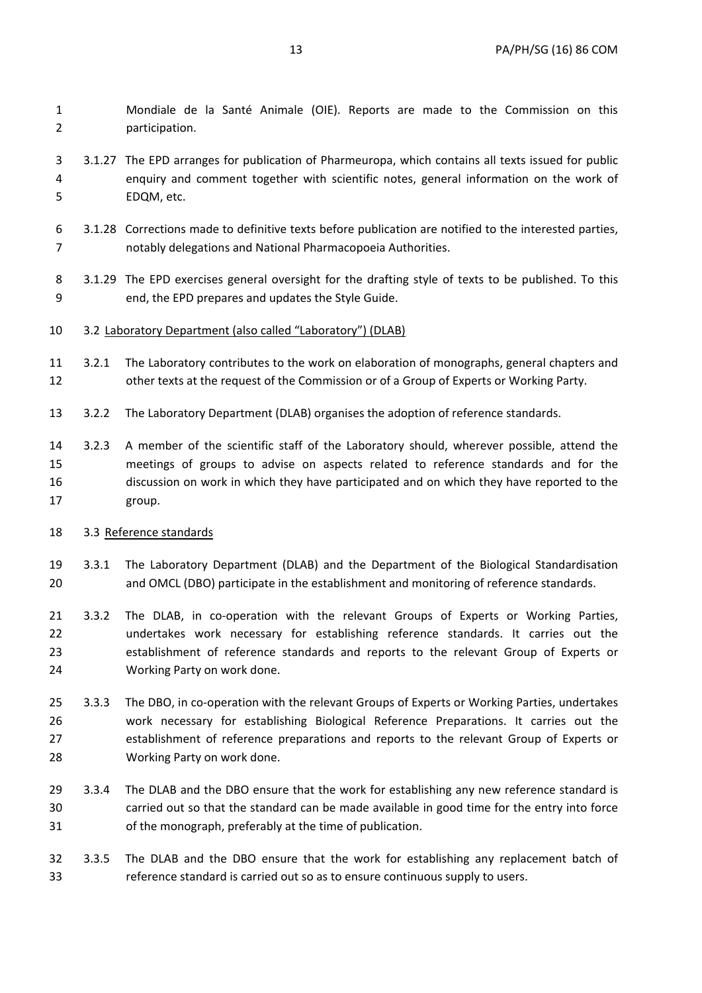1 Mondiale de la Santé Animale (OIE). Reports are made to the Commission on this 2 participation.

- 3 3.1.27 The EPD arranges for publication of Pharmeuropa, which contains all texts issued for public 4 enquiry and comment together with scientific notes, general information on the work of 5 EDQM, etc.
- 6 3.1.28 Corrections made to definitive texts before publication are notified to the interested parties, 7 notably delegations and National Pharmacopoeia Authorities.
- 8 3.1.29 The EPD exercises general oversight for the drafting style of texts to be published. To this 9 end, the EPD prepares and updates the Style Guide.
- 10 3.2 Laboratory Department (also called "Laboratory") (DLAB)
- 11 3.2.1 The Laboratory contributes to the work on elaboration of monographs, general chapters and 12 other texts at the request of the Commission or of a Group of Experts or Working Party.
- 13 3.2.2 The Laboratory Department (DLAB) organises the adoption of reference standards.
- 14 3.2.3 A member of the scientific staff of the Laboratory should, wherever possible, attend the 15 meetings of groups to advise on aspects related to reference standards and for the 16 discussion on work in which they have participated and on which they have reported to the 17 group.

### 18 3.3 Reference standards

- 19 3.3.1 The Laboratory Department (DLAB) and the Department of the Biological Standardisation 20 and OMCL (DBO) participate in the establishment and monitoring of reference standards.
- 21 3.3.2 The DLAB, in co-operation with the relevant Groups of Experts or Working Parties, 22 undertakes work necessary for establishing reference standards. It carries out the 23 establishment of reference standards and reports to the relevant Group of Experts or 24 Working Party on work done.
- 25 3.3.3 The DBO, in co-operation with the relevant Groups of Experts or Working Parties, undertakes 26 work necessary for establishing Biological Reference Preparations. It carries out the 27 establishment of reference preparations and reports to the relevant Group of Experts or 28 Working Party on work done.
- 29 3.3.4 The DLAB and the DBO ensure that the work for establishing any new reference standard is 30 carried out so that the standard can be made available in good time for the entry into force 31 of the monograph, preferably at the time of publication.
- 32 3.3.5 The DLAB and the DBO ensure that the work for establishing any replacement batch of 33 reference standard is carried out so as to ensure continuous supply to users.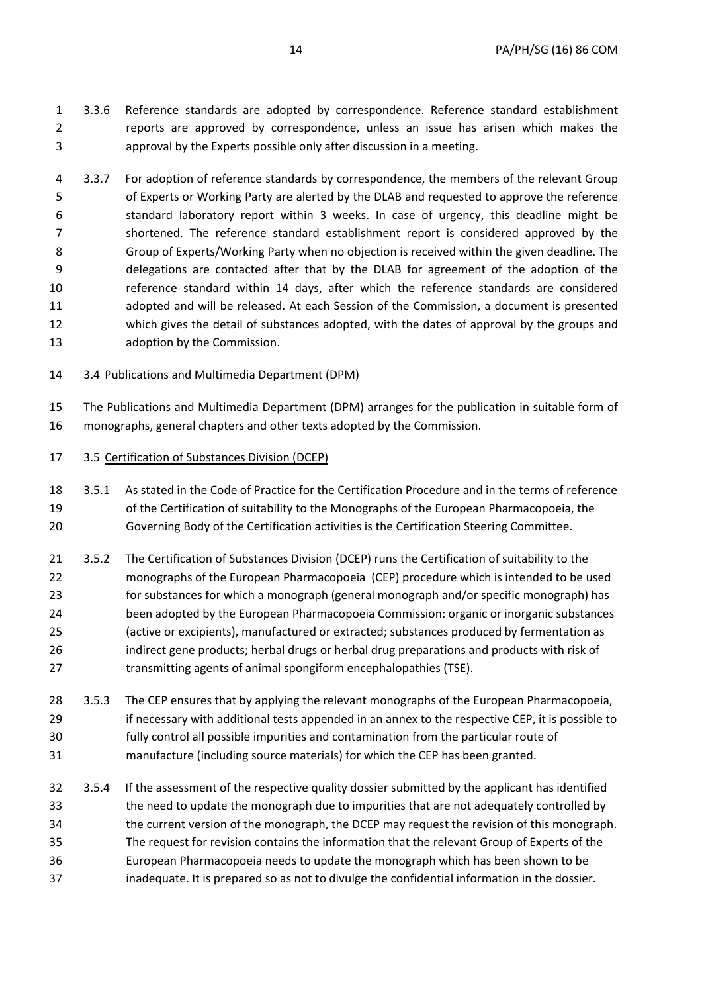- 1 3.3.6 Reference standards are adopted by correspondence. Reference standard establishment 2 reports are approved by correspondence, unless an issue has arisen which makes the 3 approval by the Experts possible only after discussion in a meeting.
- 4 3.3.7 For adoption of reference standards by correspondence, the members of the relevant Group 5 of Experts or Working Party are alerted by the DLAB and requested to approve the reference 6 standard laboratory report within 3 weeks. In case of urgency, this deadline might be 7 shortened. The reference standard establishment report is considered approved by the 8 Group of Experts/Working Party when no objection is received within the given deadline. The 9 delegations are contacted after that by the DLAB for agreement of the adoption of the 10 reference standard within 14 days, after which the reference standards are considered 11 adopted and will be released. At each Session of the Commission, a document is presented 12 which gives the detail of substances adopted, with the dates of approval by the groups and 13 adoption by the Commission.
- 14 3.4 Publications and Multimedia Department (DPM)

15 The Publications and Multimedia Department (DPM) arranges for the publication in suitable form of 16 monographs, general chapters and other texts adopted by the Commission.

## 17 3.5 Certification of Substances Division (DCEP)

- 18 3.5.1 As stated in the Code of Practice for the Certification Procedure and in the terms of reference 19 of the Certification of suitability to the Monographs of the European Pharmacopoeia, the 20 Governing Body of the Certification activities is the Certification Steering Committee.
- 21 3.5.2 The Certification of Substances Division (DCEP) runs the Certification of suitability to the 22 monographs of the European Pharmacopoeia (CEP) procedure which is intended to be used 23 for substances for which a monograph (general monograph and/or specific monograph) has 24 been adopted by the European Pharmacopoeia Commission: organic or inorganic substances 25 (active or excipients), manufactured or extracted; substances produced by fermentation as 26 indirect gene products; herbal drugs or herbal drug preparations and products with risk of 27 transmitting agents of animal spongiform encephalopathies (TSE).
- 28 3.5.3 The CEP ensures that by applying the relevant monographs of the European Pharmacopoeia, 29 if necessary with additional tests appended in an annex to the respective CEP, it is possible to 30 fully control all possible impurities and contamination from the particular route of 31 manufacture (including source materials) for which the CEP has been granted.
- 32 3.5.4 If the assessment of the respective quality dossier submitted by the applicant has identified 33 the need to update the monograph due to impurities that are not adequately controlled by 34 the current version of the monograph, the DCEP may request the revision of this monograph. 35 The request for revision contains the information that the relevant Group of Experts of the 36 European Pharmacopoeia needs to update the monograph which has been shown to be 37 inadequate. It is prepared so as not to divulge the confidential information in the dossier.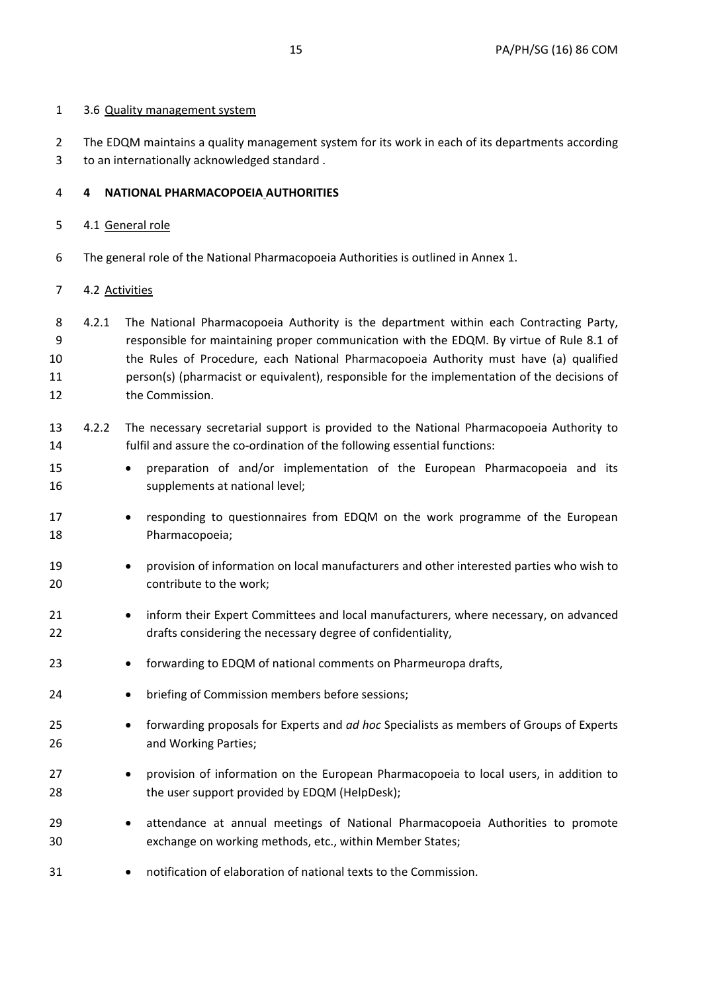2 The EDQM maintains a quality management system for its work in each of its departments according 3 to an internationally acknowledged standard .

# 4 **4 NATIONAL PHARMACOPOEIA AUTHORITIES**

# 5 4.1 General role

6 The general role of the National Pharmacopoeia Authorities is outlined in Annex 1.

# 7 4.2 Activities

- 8 4.2.1 The National Pharmacopoeia Authority is the department within each Contracting Party, 9 responsible for maintaining proper communication with the EDQM. By virtue of Rule 8.1 of 10 the Rules of Procedure, each National Pharmacopoeia Authority must have (a) qualified 11 person(s) (pharmacist or equivalent), responsible for the implementation of the decisions of 12 the Commission.
- 13 4.2.2 The necessary secretarial support is provided to the National Pharmacopoeia Authority to 14 fulfil and assure the co-ordination of the following essential functions:
- 15 preparation of and/or implementation of the European Pharmacopoeia and its 16 supplements at national level;
- 17 **•** responding to questionnaires from EDQM on the work programme of the European 18 Pharmacopoeia;
- 19 **provision of information on local manufacturers and other interested parties who wish to** 20 contribute to the work;
- 21 inform their Expert Committees and local manufacturers, where necessary, on advanced 22 drafts considering the necessary degree of confidentiality,
- 23 **e** forwarding to EDQM of national comments on Pharmeuropa drafts,
- 24 **briefing of Commission members before sessions;**
- 25 forwarding proposals for Experts and *ad hoc* Specialists as members of Groups of Experts 26 and Working Parties;
- 27 **e** provision of information on the European Pharmacopoeia to local users, in addition to 28 the user support provided by EDQM (HelpDesk);
- 29 **attendance at annual meetings of National Pharmacopoeia Authorities to promote** 30 exchange on working methods, etc., within Member States;
- 31 notification of elaboration of national texts to the Commission.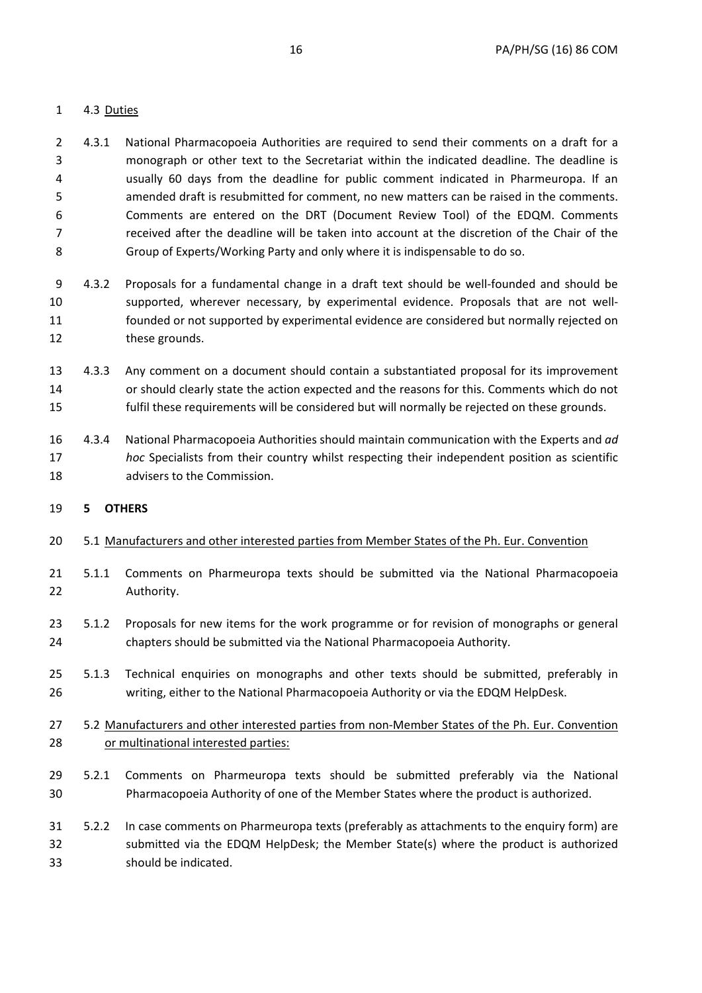## 1 4.3 Duties

- 2 4.3.1 National Pharmacopoeia Authorities are required to send their comments on a draft for a 3 monograph or other text to the Secretariat within the indicated deadline. The deadline is 4 usually 60 days from the deadline for public comment indicated in Pharmeuropa. If an 5 amended draft is resubmitted for comment, no new matters can be raised in the comments. 6 Comments are entered on the DRT (Document Review Tool) of the EDQM. Comments 7 received after the deadline will be taken into account at the discretion of the Chair of the 8 Group of Experts/Working Party and only where it is indispensable to do so.
- 9 4.3.2 Proposals for a fundamental change in a draft text should be well-founded and should be 10 supported, wherever necessary, by experimental evidence. Proposals that are not well-11 founded or not supported by experimental evidence are considered but normally rejected on 12 these grounds.
- 13 4.3.3 Any comment on a document should contain a substantiated proposal for its improvement 14 or should clearly state the action expected and the reasons for this. Comments which do not 15 fulfil these requirements will be considered but will normally be rejected on these grounds.
- 16 4.3.4 National Pharmacopoeia Authorities should maintain communication with the Experts and *ad*  17 *hoc* Specialists from their country whilst respecting their independent position as scientific 18 advisers to the Commission.

### 19 **5 OTHERS**

- 20 5.1 Manufacturers and other interested parties from Member States of the Ph. Eur. Convention
- 21 5.1.1 Comments on Pharmeuropa texts should be submitted via the National Pharmacopoeia 22 Authority.
- 23 5.1.2 Proposals for new items for the work programme or for revision of monographs or general 24 chapters should be submitted via the National Pharmacopoeia Authority.
- 25 5.1.3 Technical enquiries on monographs and other texts should be submitted, preferably in 26 writing, either to the National Pharmacopoeia Authority or via the EDQM HelpDesk.
- 27 5.2 Manufacturers and other interested parties from non-Member States of the Ph. Eur. Convention 28 or multinational interested parties:
- 29 5.2.1 Comments on Pharmeuropa texts should be submitted preferably via the National 30 Pharmacopoeia Authority of one of the Member States where the product is authorized.
- 31 5.2.2 In case comments on Pharmeuropa texts (preferably as attachments to the enquiry form) are 32 submitted via the EDQM HelpDesk; the Member State(s) where the product is authorized 33 should be indicated.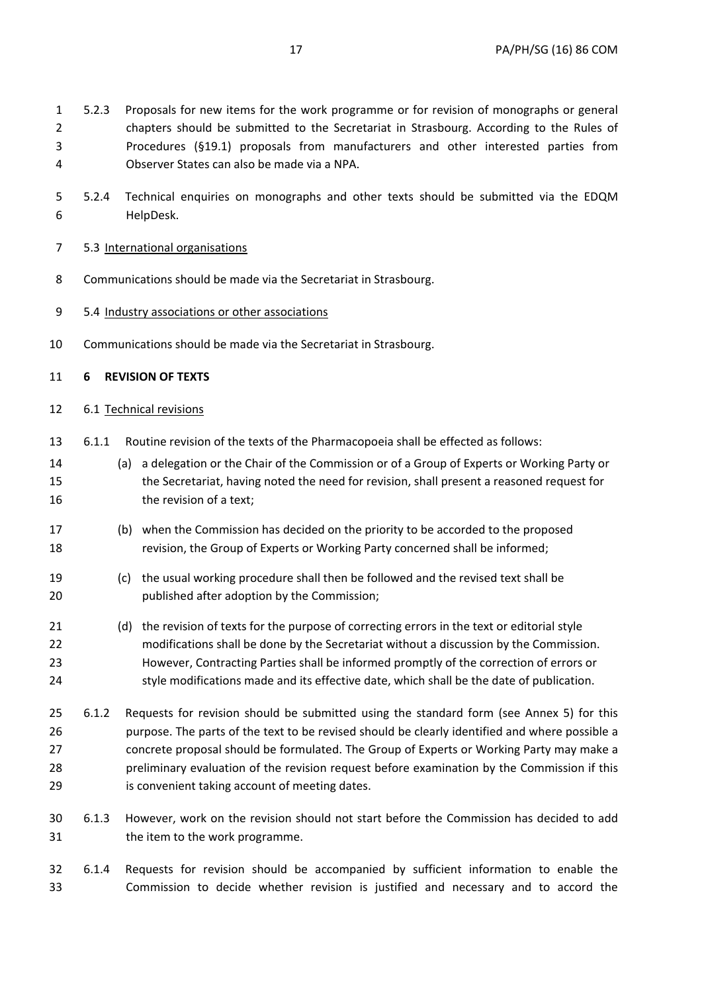- 1 5.2.3 Proposals for new items for the work programme or for revision of monographs or general 2 chapters should be submitted to the Secretariat in Strasbourg. According to the Rules of 3 Procedures (§19.1) proposals from manufacturers and other interested parties from 4 Observer States can also be made via a NPA.
- 5 5.2.4 Technical enquiries on monographs and other texts should be submitted via the EDQM 6 HelpDesk.

### 7 5.3 International organisations

- 8 Communications should be made via the Secretariat in Strasbourg.
- 9 5.4 Industry associations or other associations
- 10 Communications should be made via the Secretariat in Strasbourg.

### 11 **6 REVISION OF TEXTS**

### 12 6.1 Technical revisions

- 13 6.1.1 Routine revision of the texts of the Pharmacopoeia shall be effected as follows:
- 14 (a) a delegation or the Chair of the Commission or of a Group of Experts or Working Party or 15 the Secretariat, having noted the need for revision, shall present a reasoned request for 16 the revision of a text:
- 17 (b) when the Commission has decided on the priority to be accorded to the proposed 18 revision, the Group of Experts or Working Party concerned shall be informed;
- 19 (c) the usual working procedure shall then be followed and the revised text shall be 20 published after adoption by the Commission;
- 21 (d) the revision of texts for the purpose of correcting errors in the text or editorial style 22 modifications shall be done by the Secretariat without a discussion by the Commission. 23 However, Contracting Parties shall be informed promptly of the correction of errors or 24 style modifications made and its effective date, which shall be the date of publication.
- 25 6.1.2 Requests for revision should be submitted using the standard form (see Annex 5) for this 26 purpose. The parts of the text to be revised should be clearly identified and where possible a 27 concrete proposal should be formulated. The Group of Experts or Working Party may make a 28 preliminary evaluation of the revision request before examination by the Commission if this 29 is convenient taking account of meeting dates.
- 30 6.1.3 However, work on the revision should not start before the Commission has decided to add 31 the item to the work programme.
- 32 6.1.4 Requests for revision should be accompanied by sufficient information to enable the 33 Commission to decide whether revision is justified and necessary and to accord the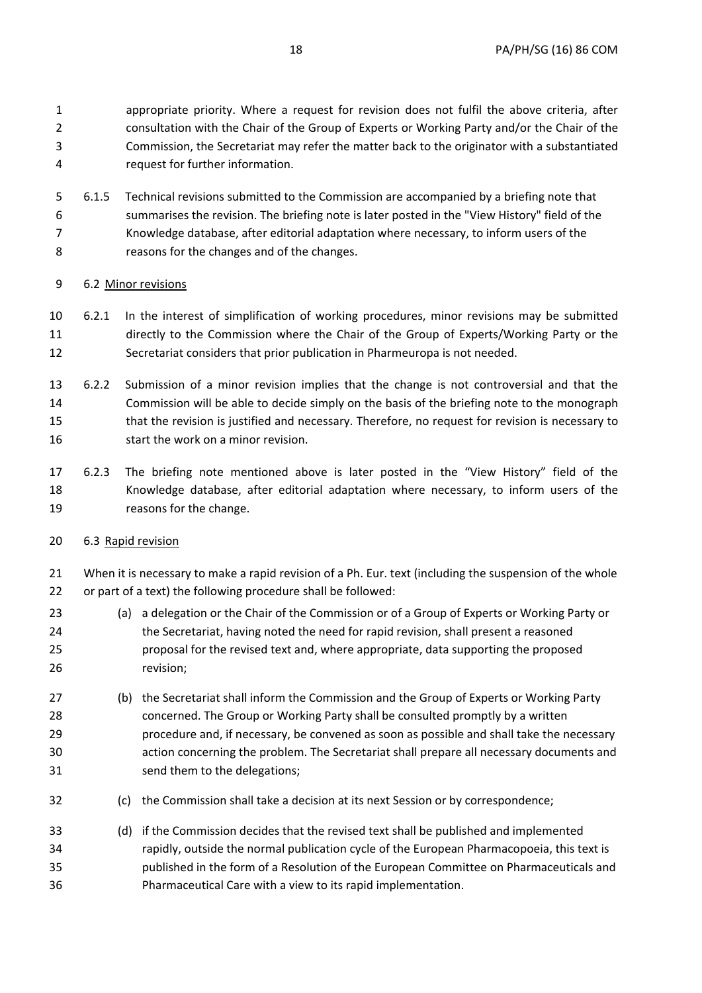1 appropriate priority. Where a request for revision does not fulfil the above criteria, after 2 consultation with the Chair of the Group of Experts or Working Party and/or the Chair of the 3 Commission, the Secretariat may refer the matter back to the originator with a substantiated 4 request for further information.

5 6.1.5 Technical revisions submitted to the Commission are accompanied by a briefing note that 6 summarises the revision. The briefing note is later posted in the "View History" field of the 7 Knowledge database, after editorial adaptation where necessary, to inform users of the 8 reasons for the changes and of the changes.

# 9 6.2 Minor revisions

- 10 6.2.1 In the interest of simplification of working procedures, minor revisions may be submitted 11 directly to the Commission where the Chair of the Group of Experts/Working Party or the 12 Secretariat considers that prior publication in Pharmeuropa is not needed.
- 13 6.2.2 Submission of a minor revision implies that the change is not controversial and that the 14 Commission will be able to decide simply on the basis of the briefing note to the monograph 15 that the revision is justified and necessary. Therefore, no request for revision is necessary to 16 start the work on a minor revision.
- 17 6.2.3 The briefing note mentioned above is later posted in the "View History" field of the 18 Knowledge database, after editorial adaptation where necessary, to inform users of the 19 reasons for the change.
- 20 6.3 Rapid revision

21 When it is necessary to make a rapid revision of a Ph. Eur. text (including the suspension of the whole 22 or part of a text) the following procedure shall be followed:

- 23 (a) a delegation or the Chair of the Commission or of a Group of Experts or Working Party or 24 the Secretariat, having noted the need for rapid revision, shall present a reasoned 25 proposal for the revised text and, where appropriate, data supporting the proposed 26 revision;
- 27 (b) the Secretariat shall inform the Commission and the Group of Experts or Working Party 28 concerned. The Group or Working Party shall be consulted promptly by a written 29 procedure and, if necessary, be convened as soon as possible and shall take the necessary 30 action concerning the problem. The Secretariat shall prepare all necessary documents and 31 send them to the delegations;
- 32 (c) the Commission shall take a decision at its next Session or by correspondence;
- 33 (d) if the Commission decides that the revised text shall be published and implemented 34 rapidly, outside the normal publication cycle of the European Pharmacopoeia, this text is 35 published in the form of a Resolution of the European Committee on Pharmaceuticals and 36 Pharmaceutical Care with a view to its rapid implementation.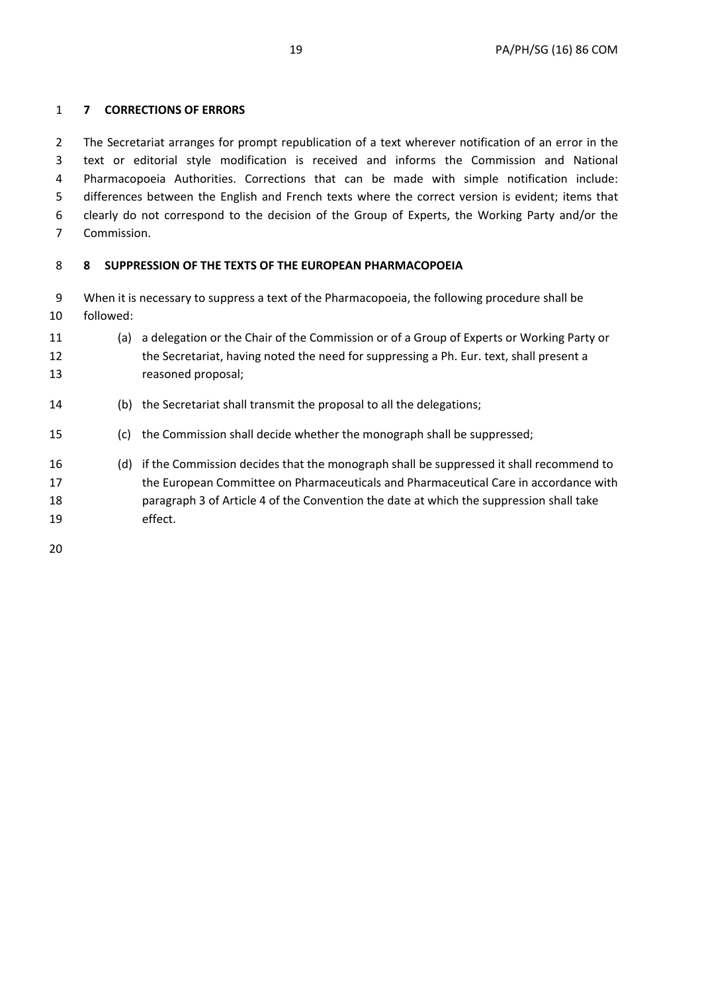## 1 **7 CORRECTIONS OF ERRORS**

2 The Secretariat arranges for prompt republication of a text wherever notification of an error in the 3 text or editorial style modification is received and informs the Commission and National 4 Pharmacopoeia Authorities. Corrections that can be made with simple notification include: 5 differences between the English and French texts where the correct version is evident; items that 6 clearly do not correspond to the decision of the Group of Experts, the Working Party and/or the 7 Commission.

# 8 **8 SUPPRESSION OF THE TEXTS OF THE EUROPEAN PHARMACOPOEIA**

9 When it is necessary to suppress a text of the Pharmacopoeia, the following procedure shall be 10 followed:

- 11 (a) a delegation or the Chair of the Commission or of a Group of Experts or Working Party or 12 the Secretariat, having noted the need for suppressing a Ph. Eur. text, shall present a 13 reasoned proposal;
- 14 (b) the Secretariat shall transmit the proposal to all the delegations;
- 15 (c) the Commission shall decide whether the monograph shall be suppressed;
- 16 (d) if the Commission decides that the monograph shall be suppressed it shall recommend to 17 the European Committee on Pharmaceuticals and Pharmaceutical Care in accordance with 18 paragraph 3 of Article 4 of the Convention the date at which the suppression shall take 19 effect.

20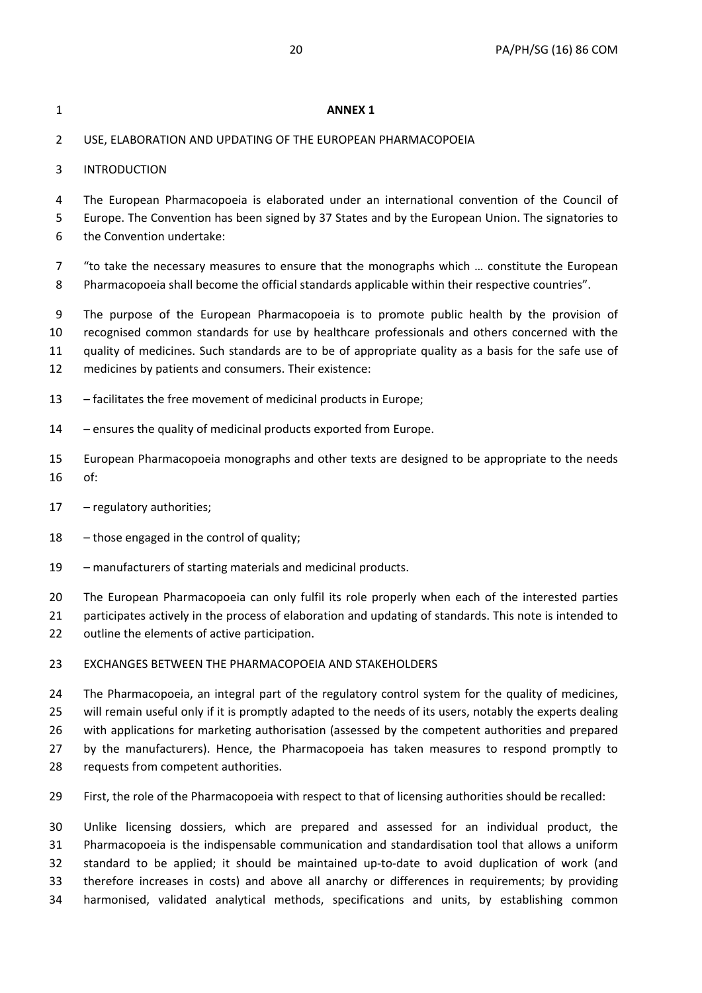| 1                    | <b>ANNEX 1</b>                                                                                                                                                                                                                                                                                                                                                                                                   |
|----------------------|------------------------------------------------------------------------------------------------------------------------------------------------------------------------------------------------------------------------------------------------------------------------------------------------------------------------------------------------------------------------------------------------------------------|
| $\overline{2}$       | USE, ELABORATION AND UPDATING OF THE EUROPEAN PHARMACOPOEIA                                                                                                                                                                                                                                                                                                                                                      |
| 3                    | <b>INTRODUCTION</b>                                                                                                                                                                                                                                                                                                                                                                                              |
| 4<br>5<br>6          | The European Pharmacopoeia is elaborated under an international convention of the Council of<br>Europe. The Convention has been signed by 37 States and by the European Union. The signatories to<br>the Convention undertake:                                                                                                                                                                                   |
| 7<br>8               | "to take the necessary measures to ensure that the monographs which  constitute the European<br>Pharmacopoeia shall become the official standards applicable within their respective countries".                                                                                                                                                                                                                 |
| 9<br>10<br>11<br>12  | The purpose of the European Pharmacopoeia is to promote public health by the provision of<br>recognised common standards for use by healthcare professionals and others concerned with the<br>quality of medicines. Such standards are to be of appropriate quality as a basis for the safe use of<br>medicines by patients and consumers. Their existence:                                                      |
| 13                   | - facilitates the free movement of medicinal products in Europe;                                                                                                                                                                                                                                                                                                                                                 |
| 14                   | - ensures the quality of medicinal products exported from Europe.                                                                                                                                                                                                                                                                                                                                                |
| 15<br>16             | European Pharmacopoeia monographs and other texts are designed to be appropriate to the needs<br>of:                                                                                                                                                                                                                                                                                                             |
| 17                   | - regulatory authorities;                                                                                                                                                                                                                                                                                                                                                                                        |
| 18                   | - those engaged in the control of quality;                                                                                                                                                                                                                                                                                                                                                                       |
| 19                   | - manufacturers of starting materials and medicinal products.                                                                                                                                                                                                                                                                                                                                                    |
| 20<br>21<br>22       | The European Pharmacopoeia can only fulfil its role properly when each of the interested parties<br>participates actively in the process of elaboration and updating of standards. This note is intended to<br>outline the elements of active participation.                                                                                                                                                     |
| 23                   | EXCHANGES BETWEEN THE PHARMACOPOEIA AND STAKEHOLDERS                                                                                                                                                                                                                                                                                                                                                             |
| 24<br>25<br>26<br>27 | The Pharmacopoeia, an integral part of the regulatory control system for the quality of medicines,<br>will remain useful only if it is promptly adapted to the needs of its users, notably the experts dealing<br>with applications for marketing authorisation (assessed by the competent authorities and prepared<br>by the manufacturers). Hence, the Pharmacopoeia has taken measures to respond promptly to |

- 28 requests from competent authorities.
- 29 First, the role of the Pharmacopoeia with respect to that of licensing authorities should be recalled:

30 Unlike licensing dossiers, which are prepared and assessed for an individual product, the 31 Pharmacopoeia is the indispensable communication and standardisation tool that allows a uniform 32 standard to be applied; it should be maintained up-to-date to avoid duplication of work (and 33 therefore increases in costs) and above all anarchy or differences in requirements; by providing 34 harmonised, validated analytical methods, specifications and units, by establishing common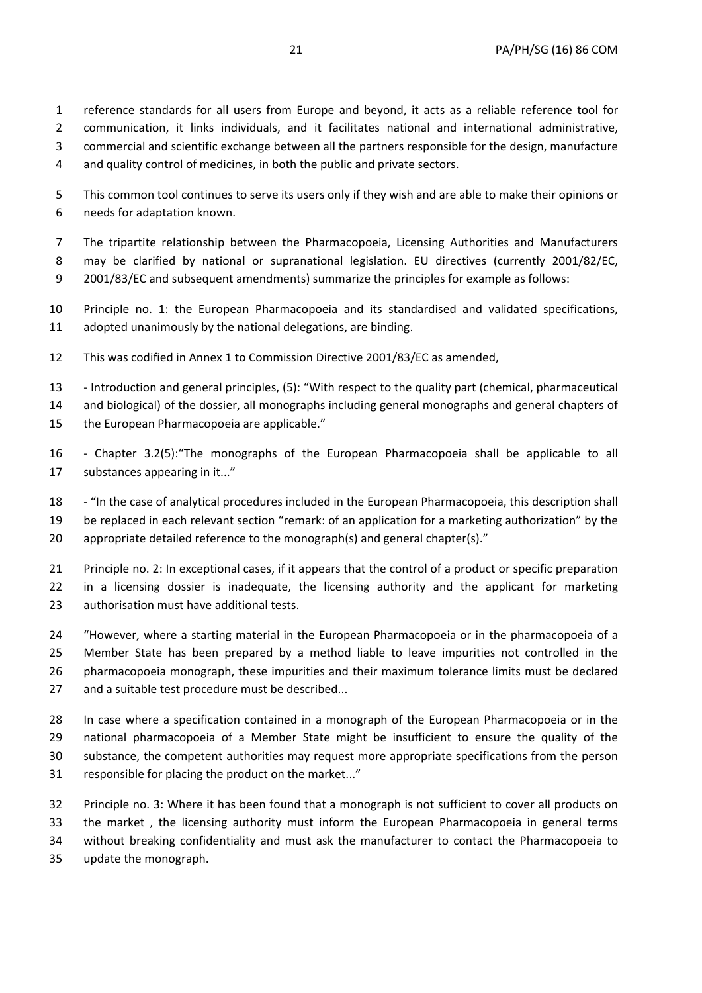1 reference standards for all users from Europe and beyond, it acts as a reliable reference tool for 2 communication, it links individuals, and it facilitates national and international administrative, 3 commercial and scientific exchange between all the partners responsible for the design, manufacture 4 and quality control of medicines, in both the public and private sectors.

5 This common tool continues to serve its users only if they wish and are able to make their opinions or 6 needs for adaptation known.

7 The tripartite relationship between the Pharmacopoeia, Licensing Authorities and Manufacturers 8 may be clarified by national or supranational legislation. EU directives (currently 2001/82/EC, 9 2001/83/EC and subsequent amendments) summarize the principles for example as follows:

10 Principle no. 1: the European Pharmacopoeia and its standardised and validated specifications, 11 adopted unanimously by the national delegations, are binding.

12 This was codified in Annex 1 to Commission Directive 2001/83/EC as amended,

13 - Introduction and general principles, (5): "With respect to the quality part (chemical, pharmaceutical 14 and biological) of the dossier, all monographs including general monographs and general chapters of 15 the European Pharmacopoeia are applicable."

16 - Chapter 3.2(5):"The monographs of the European Pharmacopoeia shall be applicable to all 17 substances appearing in it..."

18 - "In the case of analytical procedures included in the European Pharmacopoeia, this description shall 19 be replaced in each relevant section "remark: of an application for a marketing authorization" by the 20 appropriate detailed reference to the monograph(s) and general chapter(s)."

21 Principle no. 2: In exceptional cases, if it appears that the control of a product or specific preparation 22 in a licensing dossier is inadequate, the licensing authority and the applicant for marketing 23 authorisation must have additional tests.

24 "However, where a starting material in the European Pharmacopoeia or in the pharmacopoeia of a 25 Member State has been prepared by a method liable to leave impurities not controlled in the 26 pharmacopoeia monograph, these impurities and their maximum tolerance limits must be declared 27 and a suitable test procedure must be described...

28 In case where a specification contained in a monograph of the European Pharmacopoeia or in the 29 national pharmacopoeia of a Member State might be insufficient to ensure the quality of the 30 substance, the competent authorities may request more appropriate specifications from the person 31 responsible for placing the product on the market..."

32 Principle no. 3: Where it has been found that a monograph is not sufficient to cover all products on 33 the market , the licensing authority must inform the European Pharmacopoeia in general terms 34 without breaking confidentiality and must ask the manufacturer to contact the Pharmacopoeia to 35 update the monograph.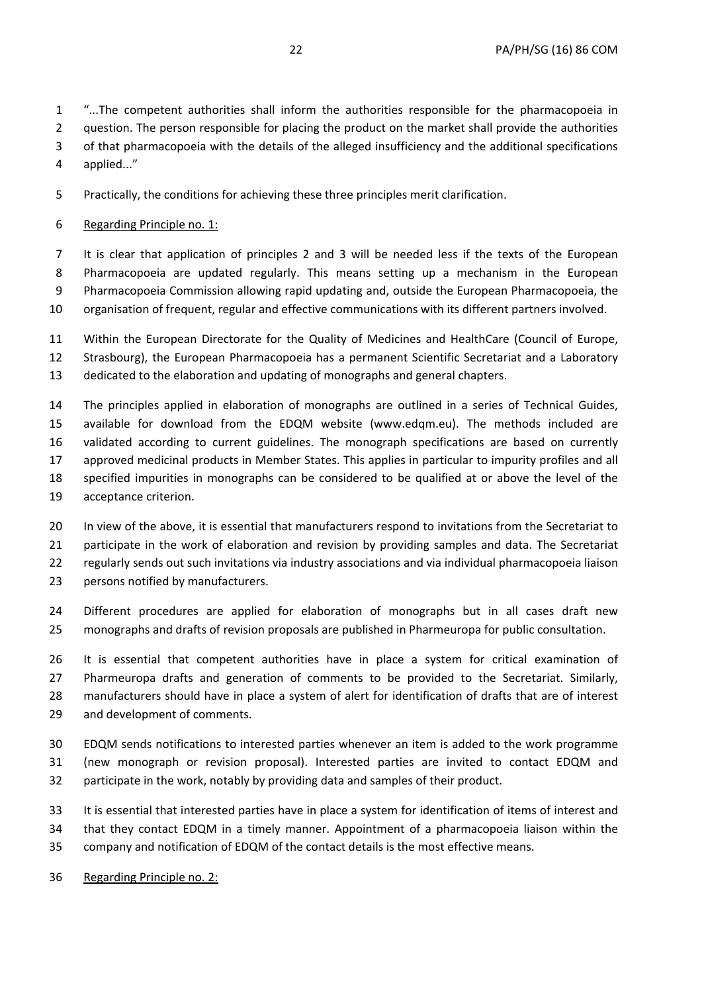1 "...The competent authorities shall inform the authorities responsible for the pharmacopoeia in 2 question. The person responsible for placing the product on the market shall provide the authorities

3 of that pharmacopoeia with the details of the alleged insufficiency and the additional specifications

4 applied..."

5 Practically, the conditions for achieving these three principles merit clarification.

## 6 Regarding Principle no. 1:

7 It is clear that application of principles 2 and 3 will be needed less if the texts of the European 8 Pharmacopoeia are updated regularly. This means setting up a mechanism in the European 9 Pharmacopoeia Commission allowing rapid updating and, outside the European Pharmacopoeia, the 10 organisation of frequent, regular and effective communications with its different partners involved.

11 Within the European Directorate for the Quality of Medicines and HealthCare (Council of Europe, 12 Strasbourg), the European Pharmacopoeia has a permanent Scientific Secretariat and a Laboratory 13 dedicated to the elaboration and updating of monographs and general chapters.

14 The principles applied in elaboration of monographs are outlined in a series of Technical Guides, 15 available for download from the EDQM website (www.edqm.eu). The methods included are 16 validated according to current guidelines. The monograph specifications are based on currently 17 approved medicinal products in Member States. This applies in particular to impurity profiles and all 18 specified impurities in monographs can be considered to be qualified at or above the level of the 19 acceptance criterion.

20 In view of the above, it is essential that manufacturers respond to invitations from the Secretariat to 21 participate in the work of elaboration and revision by providing samples and data. The Secretariat 22 regularly sends out such invitations via industry associations and via individual pharmacopoeia liaison 23 persons notified by manufacturers.

24 Different procedures are applied for elaboration of monographs but in all cases draft new 25 monographs and drafts of revision proposals are published in Pharmeuropa for public consultation.

26 It is essential that competent authorities have in place a system for critical examination of 27 Pharmeuropa drafts and generation of comments to be provided to the Secretariat. Similarly, 28 manufacturers should have in place a system of alert for identification of drafts that are of interest 29 and development of comments.

30 EDQM sends notifications to interested parties whenever an item is added to the work programme 31 (new monograph or revision proposal). Interested parties are invited to contact EDQM and 32 participate in the work, notably by providing data and samples of their product.

33 It is essential that interested parties have in place a system for identification of items of interest and 34 that they contact EDQM in a timely manner. Appointment of a pharmacopoeia liaison within the 35 company and notification of EDQM of the contact details is the most effective means.

36 Regarding Principle no. 2: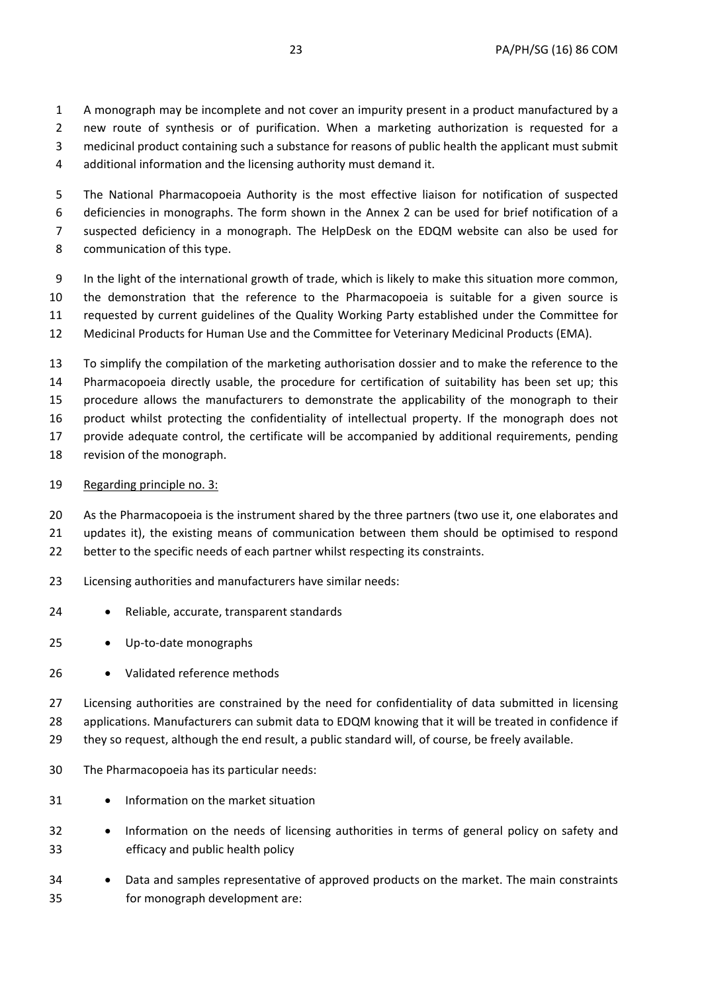1 A monograph may be incomplete and not cover an impurity present in a product manufactured by a 2 new route of synthesis or of purification. When a marketing authorization is requested for a 3 medicinal product containing such a substance for reasons of public health the applicant must submit 4 additional information and the licensing authority must demand it.

5 The National Pharmacopoeia Authority is the most effective liaison for notification of suspected 6 deficiencies in monographs. The form shown in the Annex 2 can be used for brief notification of a 7 suspected deficiency in a monograph. The HelpDesk on the EDQM website can also be used for 8 communication of this type.

9 In the light of the international growth of trade, which is likely to make this situation more common, 10 the demonstration that the reference to the Pharmacopoeia is suitable for a given source is 11 requested by current guidelines of the Quality Working Party established under the Committee for 12 Medicinal Products for Human Use and the Committee for Veterinary Medicinal Products (EMA).

13 To simplify the compilation of the marketing authorisation dossier and to make the reference to the 14 Pharmacopoeia directly usable, the procedure for certification of suitability has been set up; this 15 procedure allows the manufacturers to demonstrate the applicability of the monograph to their 16 product whilst protecting the confidentiality of intellectual property. If the monograph does not 17 provide adequate control, the certificate will be accompanied by additional requirements, pending 18 revision of the monograph.

19 Regarding principle no. 3:

20 As the Pharmacopoeia is the instrument shared by the three partners (two use it, one elaborates and

21 updates it), the existing means of communication between them should be optimised to respond

22 better to the specific needs of each partner whilst respecting its constraints.

- 23 Licensing authorities and manufacturers have similar needs:
- 24 **•** Reliable, accurate, transparent standards
- 25 Up-to-date monographs
- 26 Validated reference methods

27 Licensing authorities are constrained by the need for confidentiality of data submitted in licensing 28 applications. Manufacturers can submit data to EDQM knowing that it will be treated in confidence if 29 they so request, although the end result, a public standard will, of course, be freely available.

- 30 The Pharmacopoeia has its particular needs:
- 31 Information on the market situation
- 32 Information on the needs of licensing authorities in terms of general policy on safety and 33 efficacy and public health policy
- 34 **•** Data and samples representative of approved products on the market. The main constraints 35 for monograph development are: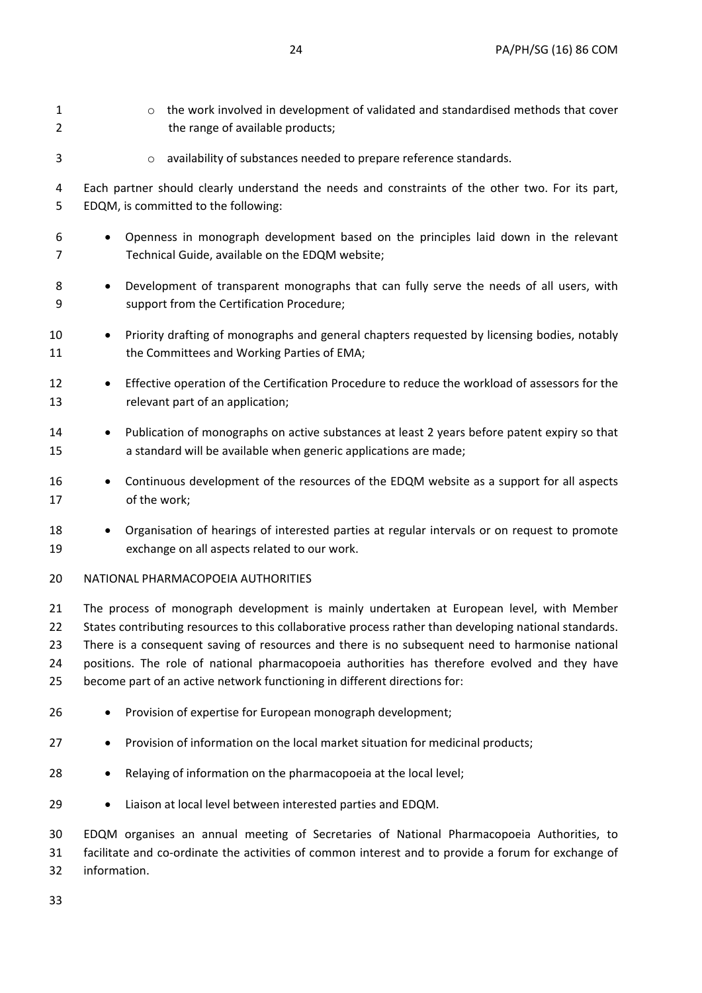| 1<br>2                     | the work involved in development of validated and standardised methods that cover<br>$\circ$<br>the range of available products;                                                                                                                                                                                                                                                                                                                                                    |
|----------------------------|-------------------------------------------------------------------------------------------------------------------------------------------------------------------------------------------------------------------------------------------------------------------------------------------------------------------------------------------------------------------------------------------------------------------------------------------------------------------------------------|
| 3                          | availability of substances needed to prepare reference standards.<br>$\circ$                                                                                                                                                                                                                                                                                                                                                                                                        |
| 4<br>5                     | Each partner should clearly understand the needs and constraints of the other two. For its part,<br>EDQM, is committed to the following:                                                                                                                                                                                                                                                                                                                                            |
| 6<br>7                     | Openness in monograph development based on the principles laid down in the relevant<br>Technical Guide, available on the EDQM website;                                                                                                                                                                                                                                                                                                                                              |
| 8<br>9                     | Development of transparent monographs that can fully serve the needs of all users, with<br>$\bullet$<br>support from the Certification Procedure;                                                                                                                                                                                                                                                                                                                                   |
| 10<br>11                   | Priority drafting of monographs and general chapters requested by licensing bodies, notably<br>$\bullet$<br>the Committees and Working Parties of EMA;                                                                                                                                                                                                                                                                                                                              |
| 12<br>13                   | Effective operation of the Certification Procedure to reduce the workload of assessors for the<br>relevant part of an application;                                                                                                                                                                                                                                                                                                                                                  |
| 14<br>15                   | Publication of monographs on active substances at least 2 years before patent expiry so that<br>$\bullet$<br>a standard will be available when generic applications are made;                                                                                                                                                                                                                                                                                                       |
| 16<br>17                   | Continuous development of the resources of the EDQM website as a support for all aspects<br>of the work;                                                                                                                                                                                                                                                                                                                                                                            |
| 18<br>19                   | Organisation of hearings of interested parties at regular intervals or on request to promote<br>$\bullet$<br>exchange on all aspects related to our work.                                                                                                                                                                                                                                                                                                                           |
| 20                         | NATIONAL PHARMACOPOEIA AUTHORITIES                                                                                                                                                                                                                                                                                                                                                                                                                                                  |
| 21<br>22<br>23<br>24<br>25 | The process of monograph development is mainly undertaken at European level, with Member<br>States contributing resources to this collaborative process rather than developing national standards.<br>There is a consequent saving of resources and there is no subsequent need to harmonise national<br>positions. The role of national pharmacopoeia authorities has therefore evolved and they have<br>become part of an active network functioning in different directions for: |
| 26                         | Provision of expertise for European monograph development;<br>$\bullet$                                                                                                                                                                                                                                                                                                                                                                                                             |
| 27                         | Provision of information on the local market situation for medicinal products;                                                                                                                                                                                                                                                                                                                                                                                                      |
| 28                         | Relaying of information on the pharmacopoeia at the local level;                                                                                                                                                                                                                                                                                                                                                                                                                    |
| 29                         | Liaison at local level between interested parties and EDQM.                                                                                                                                                                                                                                                                                                                                                                                                                         |
| 30<br>31<br>32             | EDQM organises an annual meeting of Secretaries of National Pharmacopoeia Authorities, to<br>facilitate and co-ordinate the activities of common interest and to provide a forum for exchange of<br>information.                                                                                                                                                                                                                                                                    |

33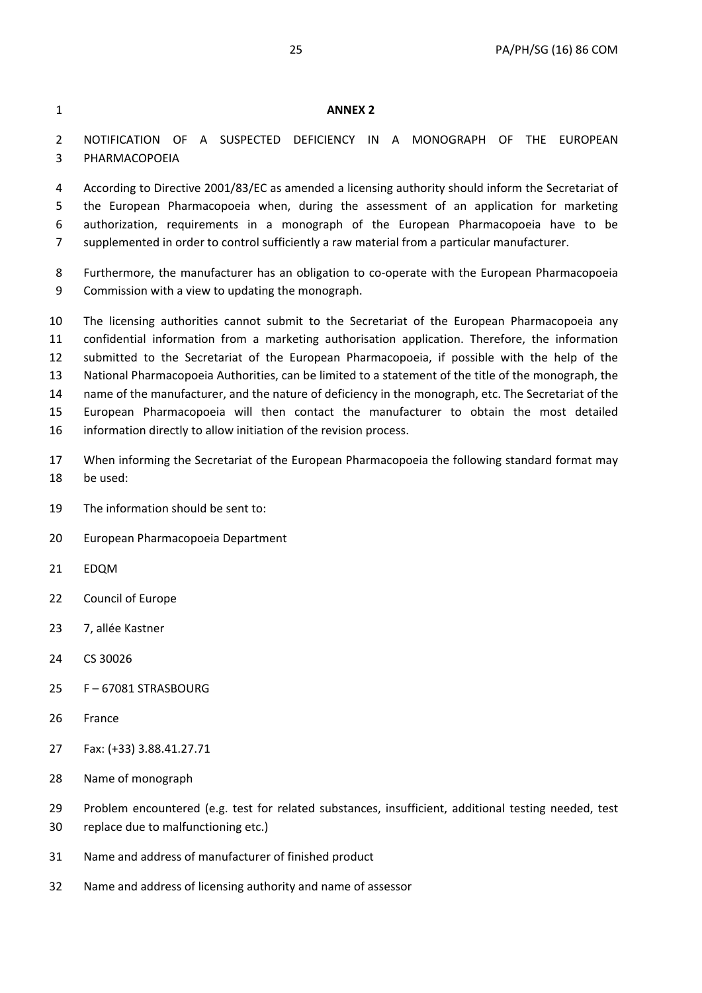### 1 **ANNEX 2**

2 NOTIFICATION OF A SUSPECTED DEFICIENCY IN A MONOGRAPH OF THE EUROPEAN 3 PHARMACOPOEIA

4 According to Directive 2001/83/EC as amended a licensing authority should inform the Secretariat of 5 the European Pharmacopoeia when, during the assessment of an application for marketing 6 authorization, requirements in a monograph of the European Pharmacopoeia have to be 7 supplemented in order to control sufficiently a raw material from a particular manufacturer.

8 Furthermore, the manufacturer has an obligation to co-operate with the European Pharmacopoeia 9 Commission with a view to updating the monograph.

10 The licensing authorities cannot submit to the Secretariat of the European Pharmacopoeia any 11 confidential information from a marketing authorisation application. Therefore, the information 12 submitted to the Secretariat of the European Pharmacopoeia, if possible with the help of the 13 National Pharmacopoeia Authorities, can be limited to a statement of the title of the monograph, the 14 name of the manufacturer, and the nature of deficiency in the monograph, etc. The Secretariat of the 15 European Pharmacopoeia will then contact the manufacturer to obtain the most detailed 16 information directly to allow initiation of the revision process.

17 When informing the Secretariat of the European Pharmacopoeia the following standard format may 18 be used:

19 The information should be sent to:

20 European Pharmacopoeia Department

- 21 EDQM
- 22 Council of Europe
- 23 7, allée Kastner
- 24 CS 30026
- 25 F 67081 STRASBOURG
- 26 France
- 27 Fax: (+33) 3.88.41.27.71
- 28 Name of monograph
- 29 Problem encountered (e.g. test for related substances, insufficient, additional testing needed, test
- 30 replace due to malfunctioning etc.)
- 31 Name and address of manufacturer of finished product
- 32 Name and address of licensing authority and name of assessor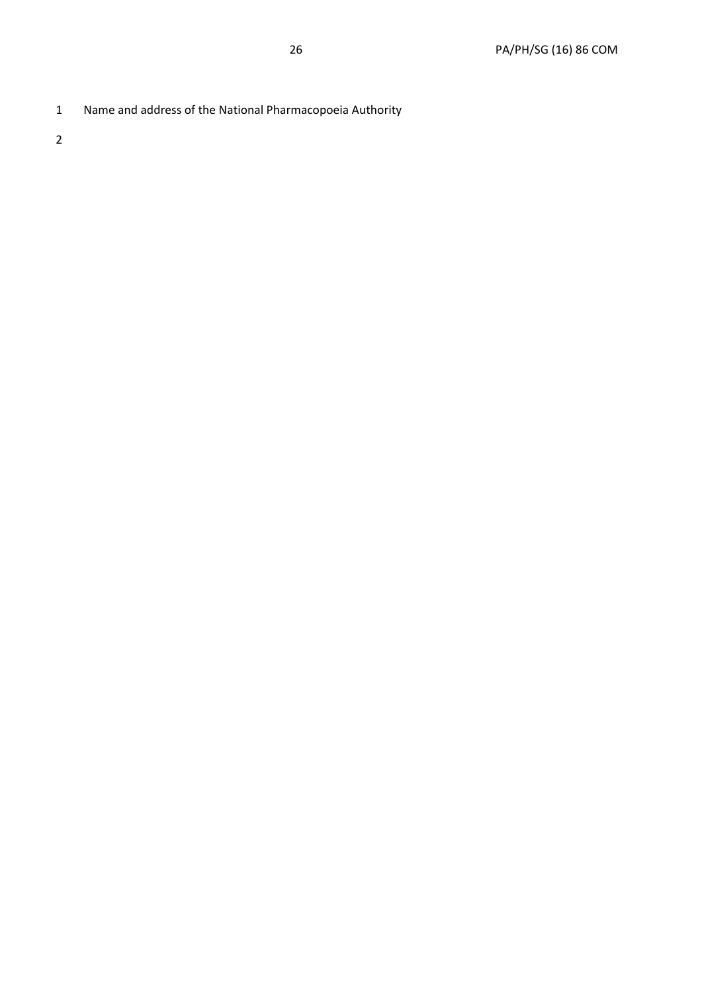1 Name and address of the National Pharmacopoeia Authority

2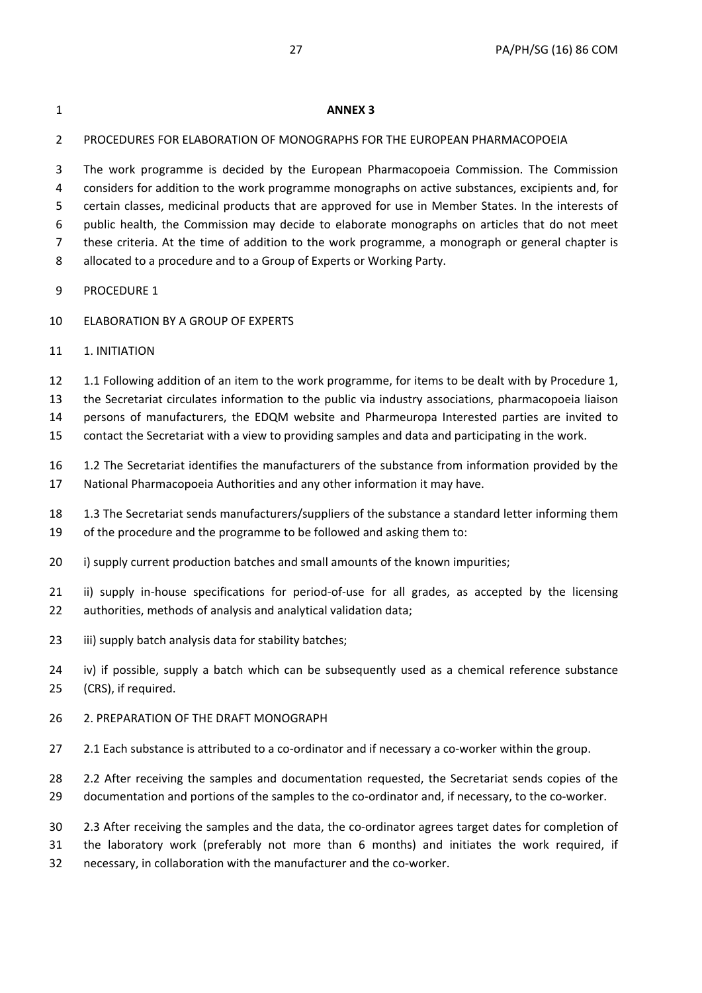### 1 **ANNEX 3**

### 2 PROCEDURES FOR ELABORATION OF MONOGRAPHS FOR THE EUROPEAN PHARMACOPOEIA

3 The work programme is decided by the European Pharmacopoeia Commission. The Commission 4 considers for addition to the work programme monographs on active substances, excipients and, for 5 certain classes, medicinal products that are approved for use in Member States. In the interests of 6 public health, the Commission may decide to elaborate monographs on articles that do not meet 7 these criteria. At the time of addition to the work programme, a monograph or general chapter is 8 allocated to a procedure and to a Group of Experts or Working Party.

- 9 PROCEDURE 1
- 10 ELABORATION BY A GROUP OF EXPERTS
- 11 1. INITIATION
- 12 1.1 Following addition of an item to the work programme, for items to be dealt with by Procedure 1,

13 the Secretariat circulates information to the public via industry associations, pharmacopoeia liaison

14 persons of manufacturers, the EDQM website and Pharmeuropa Interested parties are invited to

15 contact the Secretariat with a view to providing samples and data and participating in the work.

- 16 1.2 The Secretariat identifies the manufacturers of the substance from information provided by the 17 National Pharmacopoeia Authorities and any other information it may have.
- 18 1.3 The Secretariat sends manufacturers/suppliers of the substance a standard letter informing them
- 19 of the procedure and the programme to be followed and asking them to:
- 20 i) supply current production batches and small amounts of the known impurities;
- 21 ii) supply in-house specifications for period-of-use for all grades, as accepted by the licensing 22 authorities, methods of analysis and analytical validation data;
- 23 iii) supply batch analysis data for stability batches;

24 iv) if possible, supply a batch which can be subsequently used as a chemical reference substance 25 (CRS), if required.

- 26 2. PREPARATION OF THE DRAFT MONOGRAPH
- 27 2.1 Each substance is attributed to a co-ordinator and if necessary a co-worker within the group.
- 28 2.2 After receiving the samples and documentation requested, the Secretariat sends copies of the
- 29 documentation and portions of the samples to the co-ordinator and, if necessary, to the co-worker.
- 30 2.3 After receiving the samples and the data, the co-ordinator agrees target dates for completion of
- 31 the laboratory work (preferably not more than 6 months) and initiates the work required, if
- 32 necessary, in collaboration with the manufacturer and the co-worker.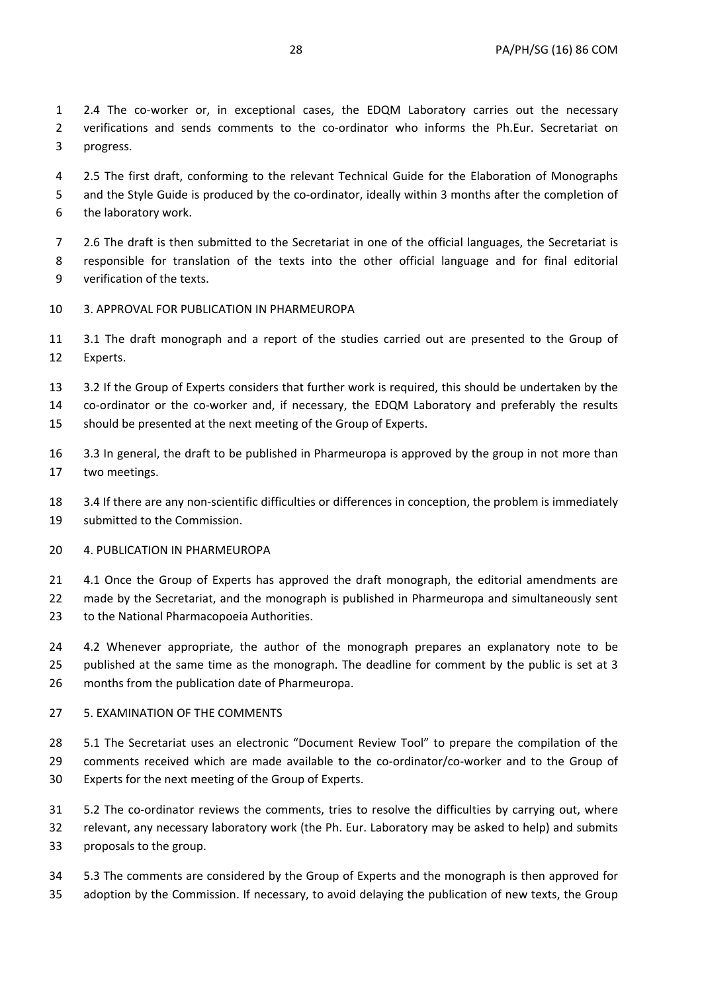1 2.4 The co-worker or, in exceptional cases, the EDQM Laboratory carries out the necessary 2 verifications and sends comments to the co-ordinator who informs the Ph.Eur. Secretariat on 3 progress.

4 2.5 The first draft, conforming to the relevant Technical Guide for the Elaboration of Monographs 5 and the Style Guide is produced by the co-ordinator, ideally within 3 months after the completion of 6 the laboratory work.

7 2.6 The draft is then submitted to the Secretariat in one of the official languages, the Secretariat is 8 responsible for translation of the texts into the other official language and for final editorial 9 verification of the texts.

- 10 3. APPROVAL FOR PUBLICATION IN PHARMEUROPA
- 11 3.1 The draft monograph and a report of the studies carried out are presented to the Group of 12 Experts.
- 13 3.2 If the Group of Experts considers that further work is required, this should be undertaken by the 14 co-ordinator or the co-worker and, if necessary, the EDQM Laboratory and preferably the results
- 15 should be presented at the next meeting of the Group of Experts.
- 16 3.3 In general, the draft to be published in Pharmeuropa is approved by the group in not more than 17 two meetings.
- 18 3.4 If there are any non-scientific difficulties or differences in conception, the problem is immediately 19 submitted to the Commission.
- 20 4. PUBLICATION IN PHARMEUROPA

21 4.1 Once the Group of Experts has approved the draft monograph, the editorial amendments are 22 made by the Secretariat, and the monograph is published in Pharmeuropa and simultaneously sent 23 to the National Pharmacopoeia Authorities.

24 4.2 Whenever appropriate, the author of the monograph prepares an explanatory note to be 25 published at the same time as the monograph. The deadline for comment by the public is set at 3 26 months from the publication date of Pharmeuropa.

### 27 5. EXAMINATION OF THE COMMENTS

28 5.1 The Secretariat uses an electronic "Document Review Tool" to prepare the compilation of the 29 comments received which are made available to the co-ordinator/co-worker and to the Group of 30 Experts for the next meeting of the Group of Experts.

31 5.2 The co-ordinator reviews the comments, tries to resolve the difficulties by carrying out, where 32 relevant, any necessary laboratory work (the Ph. Eur. Laboratory may be asked to help) and submits 33 proposals to the group.

34 5.3 The comments are considered by the Group of Experts and the monograph is then approved for 35 adoption by the Commission. If necessary, to avoid delaying the publication of new texts, the Group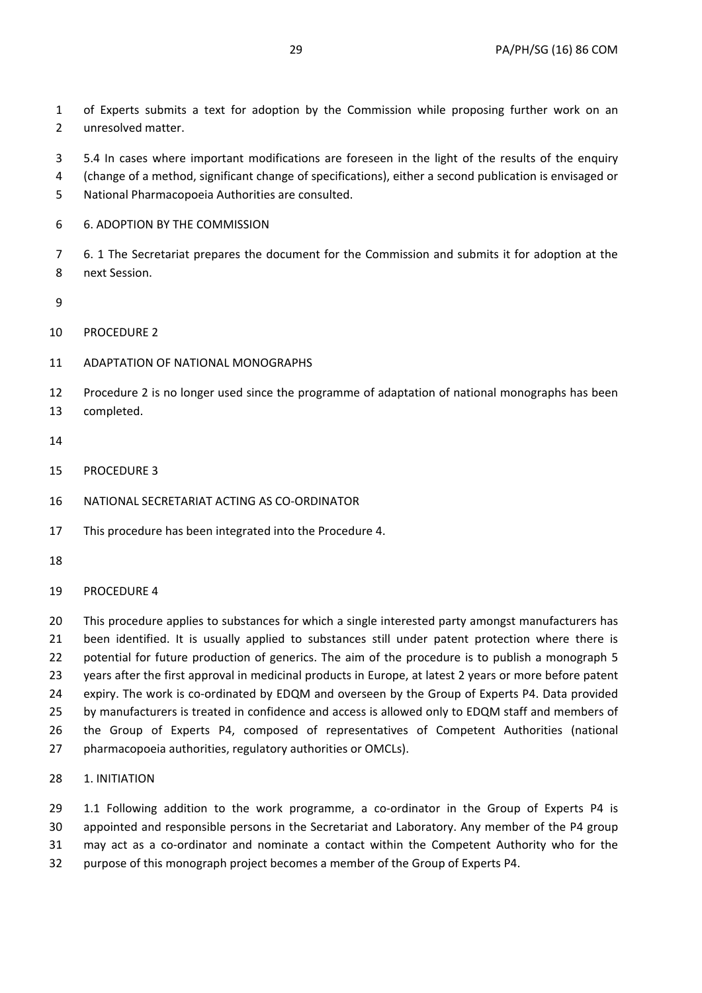1 of Experts submits a text for adoption by the Commission while proposing further work on an 2 unresolved matter.

- 3 5.4 In cases where important modifications are foreseen in the light of the results of the enquiry
- 4 (change of a method, significant change of specifications), either a second publication is envisaged or
- 5 National Pharmacopoeia Authorities are consulted.
- 6 6. ADOPTION BY THE COMMISSION

7 6. 1 The Secretariat prepares the document for the Commission and submits it for adoption at the 8 next Session.

- 9
- 10 PROCEDURE 2
- 11 ADAPTATION OF NATIONAL MONOGRAPHS
- 12 Procedure 2 is no longer used since the programme of adaptation of national monographs has been 13 completed.
- 14
- 15 PROCEDURE 3
- 16 NATIONAL SECRETARIAT ACTING AS CO-ORDINATOR
- 17 This procedure has been integrated into the Procedure 4.
- 18
- 19 PROCEDURE 4

20 This procedure applies to substances for which a single interested party amongst manufacturers has 21 been identified. It is usually applied to substances still under patent protection where there is 22 potential for future production of generics. The aim of the procedure is to publish a monograph 5 23 years after the first approval in medicinal products in Europe, at latest 2 years or more before patent 24 expiry. The work is co-ordinated by EDQM and overseen by the Group of Experts P4. Data provided 25 by manufacturers is treated in confidence and access is allowed only to EDQM staff and members of 26 the Group of Experts P4, composed of representatives of Competent Authorities (national 27 pharmacopoeia authorities, regulatory authorities or OMCLs).

28 1. INITIATION

29 1.1 Following addition to the work programme, a co-ordinator in the Group of Experts P4 is 30 appointed and responsible persons in the Secretariat and Laboratory. Any member of the P4 group 31 may act as a co-ordinator and nominate a contact within the Competent Authority who for the 32 purpose of this monograph project becomes a member of the Group of Experts P4.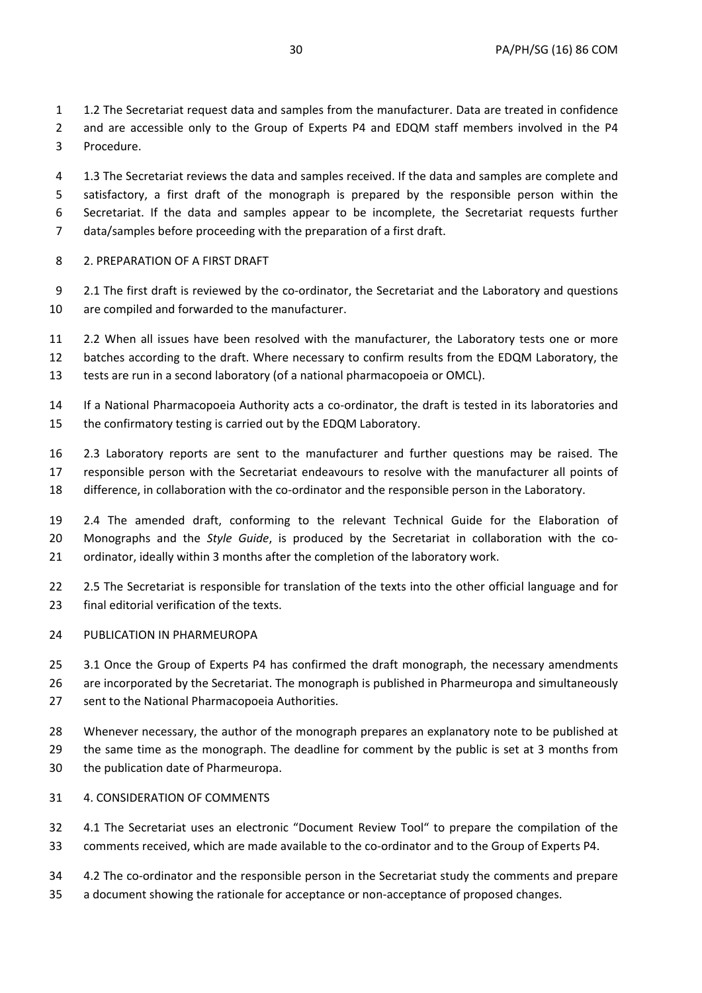1 1.2 The Secretariat request data and samples from the manufacturer. Data are treated in confidence 2 and are accessible only to the Group of Experts P4 and EDQM staff members involved in the P4 3 Procedure.

- 4 1.3 The Secretariat reviews the data and samples received. If the data and samples are complete and 5 satisfactory, a first draft of the monograph is prepared by the responsible person within the 6 Secretariat. If the data and samples appear to be incomplete, the Secretariat requests further 7 data/samples before proceeding with the preparation of a first draft.
- 8 2. PREPARATION OF A FIRST DRAFT
- 9 2.1 The first draft is reviewed by the co-ordinator, the Secretariat and the Laboratory and questions 10 are compiled and forwarded to the manufacturer.
- 11 2.2 When all issues have been resolved with the manufacturer, the Laboratory tests one or more 12 batches according to the draft. Where necessary to confirm results from the EDQM Laboratory, the 13 tests are run in a second laboratory (of a national pharmacopoeia or OMCL).
- 14 If a National Pharmacopoeia Authority acts a co-ordinator, the draft is tested in its laboratories and 15 the confirmatory testing is carried out by the EDQM Laboratory.
- 16 2.3 Laboratory reports are sent to the manufacturer and further questions may be raised. The 17 responsible person with the Secretariat endeavours to resolve with the manufacturer all points of 18 difference, in collaboration with the co-ordinator and the responsible person in the Laboratory.
- 19 2.4 The amended draft, conforming to the relevant Technical Guide for the Elaboration of 20 Monographs and the *Style Guide*, is produced by the Secretariat in collaboration with the co-21 ordinator, ideally within 3 months after the completion of the laboratory work.
- 22 2.5 The Secretariat is responsible for translation of the texts into the other official language and for 23 final editorial verification of the texts.
- 24 PUBLICATION IN PHARMEUROPA

25 3.1 Once the Group of Experts P4 has confirmed the draft monograph, the necessary amendments 26 are incorporated by the Secretariat. The monograph is published in Pharmeuropa and simultaneously 27 sent to the National Pharmacopoeia Authorities.

- 28 Whenever necessary, the author of the monograph prepares an explanatory note to be published at 29 the same time as the monograph. The deadline for comment by the public is set at 3 months from 30 the publication date of Pharmeuropa.
- 31 4. CONSIDERATION OF COMMENTS
- 32 4.1 The Secretariat uses an electronic "Document Review Tool" to prepare the compilation of the 33 comments received, which are made available to the co-ordinator and to the Group of Experts P4.
- 34 4.2 The co-ordinator and the responsible person in the Secretariat study the comments and prepare 35 a document showing the rationale for acceptance or non-acceptance of proposed changes.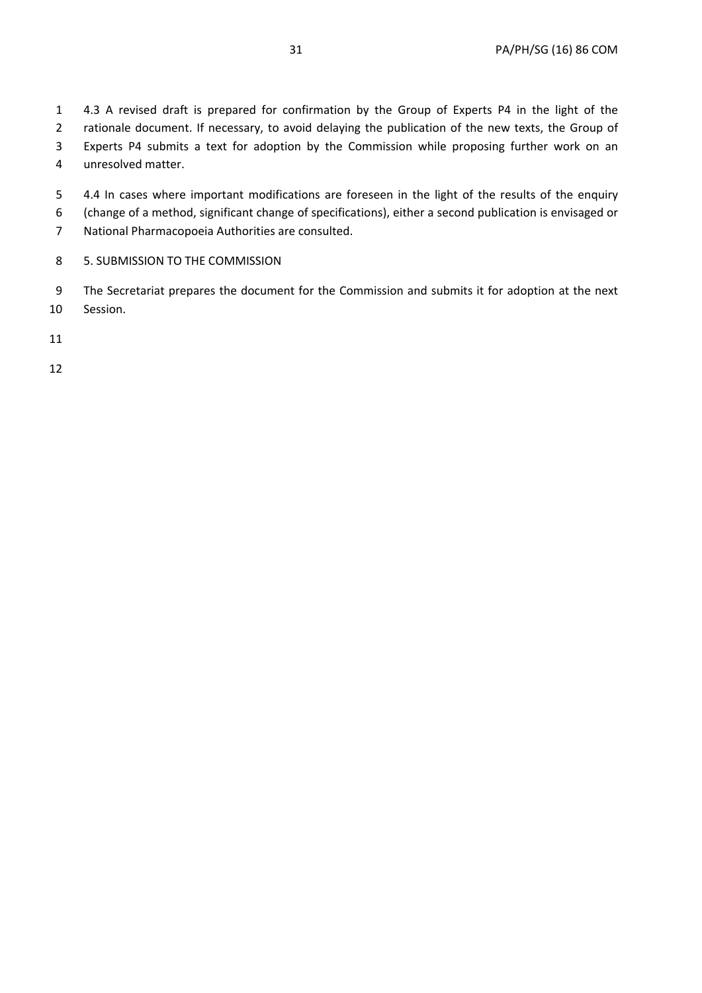1 4.3 A revised draft is prepared for confirmation by the Group of Experts P4 in the light of the 2 rationale document. If necessary, to avoid delaying the publication of the new texts, the Group of 3 Experts P4 submits a text for adoption by the Commission while proposing further work on an 4 unresolved matter.

- 5 4.4 In cases where important modifications are foreseen in the light of the results of the enquiry 6 (change of a method, significant change of specifications), either a second publication is envisaged or
- 7 National Pharmacopoeia Authorities are consulted.
- 8 5. SUBMISSION TO THE COMMISSION
- 9 The Secretariat prepares the document for the Commission and submits it for adoption at the next 10 Session.
- 11
- 12